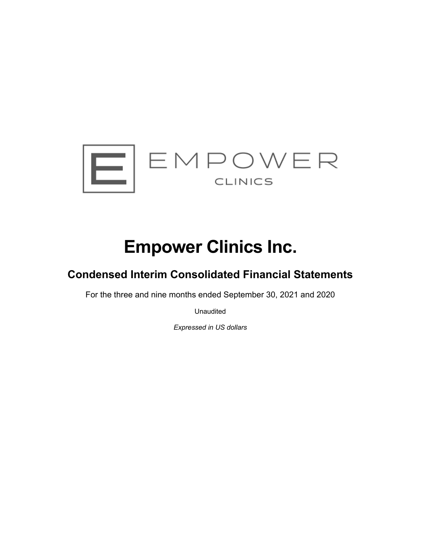

# **Empower Clinics Inc.**

# **Condensed Interim Consolidated Financial Statements**

For the three and nine months ended September 30, 2021 and 2020

Unaudited

*Expressed in US dollars*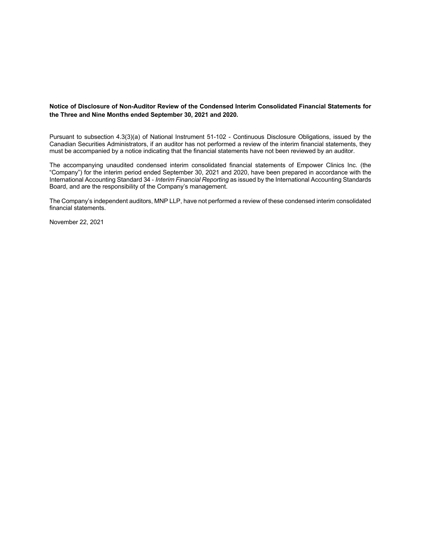#### **Notice of Disclosure of Non-Auditor Review of the Condensed Interim Consolidated Financial Statements for the Three and Nine Months ended September 30, 2021 and 2020.**

Pursuant to subsection 4.3(3)(a) of National Instrument 51-102 - Continuous Disclosure Obligations, issued by the Canadian Securities Administrators, if an auditor has not performed a review of the interim financial statements, they must be accompanied by a notice indicating that the financial statements have not been reviewed by an auditor.

The accompanying unaudited condensed interim consolidated financial statements of Empower Clinics Inc. (the "Company") for the interim period ended September 30, 2021 and 2020, have been prepared in accordance with the International Accounting Standard 34 - *Interim Financial Reporting* as issued by the International Accounting Standards Board, and are the responsibility of the Company's management.

The Company's independent auditors, MNP LLP, have not performed a review of these condensed interim consolidated financial statements.

November 22, 2021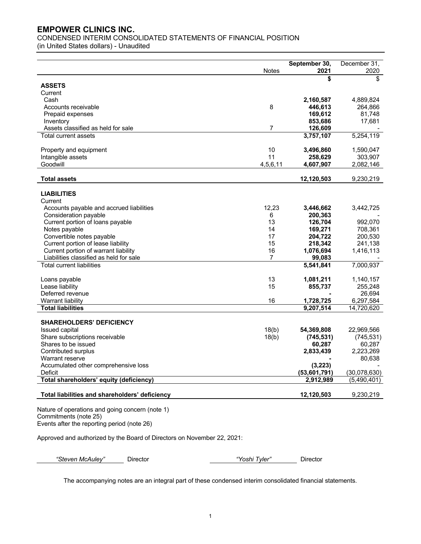CONDENSED INTERIM CONSOLIDATED STATEMENTS OF FINANCIAL POSITION

(in United States dollars) - Unaudited

|                                                |                | September 30, | December 31, |
|------------------------------------------------|----------------|---------------|--------------|
|                                                | <b>Notes</b>   | 2021          | 2020         |
|                                                |                | \$            | \$           |
| <b>ASSETS</b>                                  |                |               |              |
| Current                                        |                |               |              |
| Cash                                           |                | 2,160,587     | 4,889,824    |
| Accounts receivable                            | 8              | 446,613       | 264,866      |
| Prepaid expenses                               |                | 169,612       | 81,748       |
| Inventory                                      |                | 853,686       | 17,681       |
| Assets classified as held for sale             | $\overline{7}$ | 126,609       |              |
| Total current assets                           |                | 3,757,107     | 5,254,119    |
| Property and equipment                         | 10             | 3,496,860     | 1,590,047    |
| Intangible assets                              | 11             | 258,629       | 303,907      |
| Goodwill                                       | 4,5,6,11       | 4,607,907     | 2,082,146    |
| <b>Total assets</b>                            |                | 12,120,503    | 9,230,219    |
|                                                |                |               |              |
| <b>LIABILITIES</b>                             |                |               |              |
| Current                                        |                |               |              |
| Accounts payable and accrued liabilities       | 12,23          | 3,446,662     | 3,442,725    |
| Consideration payable                          | 6              | 200,363       |              |
| Current portion of loans payable               | 13             | 126,704       | 992,070      |
| Notes payable                                  | 14             | 169,271       | 708,361      |
| Convertible notes payable                      | 17             | 204,722       | 200,530      |
| Current portion of lease liability             | 15             | 218,342       | 241,138      |
| Current portion of warrant liability           | 16             | 1,076,694     | 1,416,113    |
| Liabilities classified as held for sale        | $\overline{7}$ | 99,083        |              |
| <b>Total current liabilities</b>               |                | 5,541,841     | 7,000,937    |
| Loans payable                                  | 13             | 1,081,211     | 1,140,157    |
| Lease liability                                | 15             | 855,737       | 255,248      |
| Deferred revenue                               |                |               | 26,694       |
| Warrant liability                              | 16             | 1,728,725     | 6,297,584    |
| <b>Total liabilities</b>                       |                | 9,207,514     | 14,720,620   |
| <b>SHAREHOLDERS' DEFICIENCY</b>                |                |               |              |
| Issued capital                                 | 18(b)          | 54,369,808    | 22,969,566   |
| Share subscriptions receivable                 | 18(b)          | (745, 531)    | (745, 531)   |
| Shares to be issued                            |                | 60,287        | 60,287       |
| Contributed surplus                            |                | 2,833,439     | 2,223,269    |
| Warrant reserve                                |                |               | 80,638       |
| Accumulated other comprehensive loss           |                | (3, 223)      |              |
| Deficit                                        |                | (53,601,791)  | (30,078,630) |
| Total shareholders' equity (deficiency)        |                | 2,912,989     | (5,490,401)  |
| Total liabilities and shareholders' deficiency |                | 12,120,503    | 9,230,219    |

Nature of operations and going concern (note 1) Commitments (note 25) Events after the reporting period (note 26)

Approved and authorized by the Board of Directors on November 22, 2021:

*"Steven McAuley"* Director *"Yoshi Tyler"* Director

The accompanying notes are an integral part of these condensed interim consolidated financial statements.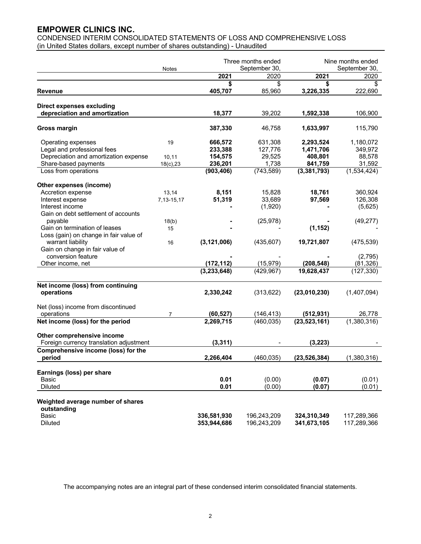CONDENSED INTERIM CONSOLIDATED STATEMENTS OF LOSS AND COMPREHENSIVE LOSS (in United States dollars, except number of shares outstanding) - Unaudited

|                                         |            |               | Three months ended |                | Nine months ended |  |
|-----------------------------------------|------------|---------------|--------------------|----------------|-------------------|--|
|                                         | Notes      |               | September 30,      |                | September 30,     |  |
|                                         |            | 2021          | 2020               | 2021           | 2020              |  |
|                                         |            | \$            | \$                 | \$             | \$                |  |
| Revenue                                 |            | 405,707       | 85,960             | 3,226,335      | 222,690           |  |
| <b>Direct expenses excluding</b>        |            |               |                    |                |                   |  |
| depreciation and amortization           |            | 18,377        | 39,202             | 1,592,338      | 106,900           |  |
| Gross margin                            |            | 387,330       | 46,758             | 1,633,997      | 115,790           |  |
| Operating expenses                      | 19         | 666,572       | 631,308            | 2,293,524      | 1,180,072         |  |
| Legal and professional fees             |            | 233,388       | 127,776            | 1,471,706      | 349,972           |  |
| Depreciation and amortization expense   | 10, 11     | 154,575       | 29,525             | 408,801        | 88,578            |  |
| Share-based payments                    | 18(c), 23  | 236,201       | 1,738              | 841,759        | 31,592            |  |
| Loss from operations                    |            | (903, 406)    | (743, 589)         | (3, 381, 793)  | (1,534,424)       |  |
| Other expenses (income)                 |            |               |                    |                |                   |  |
| Accretion expense                       | 13,14      | 8,151         | 15,828             | 18,761         | 360,924           |  |
| Interest expense                        | 7,13-15,17 | 51,319        | 33,689             | 97,569         | 126,308           |  |
| Interest income                         |            |               | (1,920)            |                | (5,625)           |  |
| Gain on debt settlement of accounts     |            |               |                    |                |                   |  |
| payable                                 | 18(b)      |               | (25, 978)          |                | (49, 277)         |  |
| Gain on termination of leases           | 15         |               |                    | (1, 152)       |                   |  |
| Loss (gain) on change in fair value of  |            |               |                    |                |                   |  |
| warrant liability                       | 16         | (3, 121, 006) | (435, 607)         | 19,721,807     | (475, 539)        |  |
| Gain on change in fair value of         |            |               |                    |                |                   |  |
| conversion feature                      |            |               |                    |                | (2,795)           |  |
| Other income, net                       |            | (172, 112)    | (15, 979)          | (208, 548)     | (81, 326)         |  |
|                                         |            | (3,233,648)   | (429, 967)         | 19,628,437     | (127, 330)        |  |
| Net income (loss) from continuing       |            |               |                    |                |                   |  |
| operations                              |            | 2,330,242     | (313, 622)         | (23,010,230)   | (1,407,094)       |  |
| Net (loss) income from discontinued     |            |               |                    |                |                   |  |
| operations                              | 7          | (60, 527)     | (146, 413)         | (512, 931)     | 26,778            |  |
| Net income (loss) for the period        |            | 2,269,715     | (460, 035)         | (23, 523, 161) | (1,380,316)       |  |
| Other comprehensive income              |            |               |                    |                |                   |  |
| Foreign currency translation adjustment |            | (3, 311)      |                    | (3, 223)       |                   |  |
| Comprehensive income (loss) for the     |            |               |                    |                |                   |  |
| period                                  |            | 2,266,404     | (460, 035)         | (23, 526, 384) | (1,380,316)       |  |
| Earnings (loss) per share               |            |               |                    |                |                   |  |
| Basic                                   |            | 0.01          | (0.00)             | (0.07)         | (0.01)            |  |
| <b>Diluted</b>                          |            | 0.01          | (0.00)             | (0.07)         | (0.01)            |  |
| Weighted average number of shares       |            |               |                    |                |                   |  |
| outstanding                             |            |               |                    |                |                   |  |
| Basic                                   |            | 336,581,930   | 196,243,209        | 324,310,349    | 117,289,366       |  |
| <b>Diluted</b>                          |            | 353,944,686   | 196,243,209        | 341,673,105    | 117,289,366       |  |

The accompanying notes are an integral part of these condensed interim consolidated financial statements.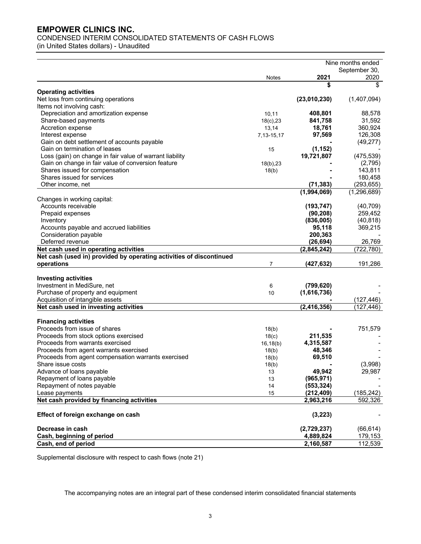CONDENSED INTERIM CONSOLIDATED STATEMENTS OF CASH FLOWS

(in United States dollars) - Unaudited

|                                                                     |                |               | Nine months ended |
|---------------------------------------------------------------------|----------------|---------------|-------------------|
|                                                                     |                |               | September 30,     |
|                                                                     | <b>Notes</b>   | 2021          | 2020              |
|                                                                     |                | \$            | \$                |
| <b>Operating activities</b>                                         |                |               |                   |
| Net loss from continuing operations                                 |                | (23,010,230)  | (1,407,094)       |
| Items not involving cash:                                           |                |               |                   |
| Depreciation and amortization expense                               | 10,11          | 408,801       | 88,578            |
| Share-based payments                                                | $18(c)$ , $23$ | 841,758       | 31,592            |
| Accretion expense                                                   | 13,14          | 18,761        | 360,924           |
| Interest expense                                                    | 7, 13-15, 17   | 97,569        | 126,308           |
| Gain on debt settlement of accounts payable                         |                |               | (49, 277)         |
| Gain on termination of leases                                       | 15             | (1, 152)      |                   |
| Loss (gain) on change in fair value of warrant liability            |                | 19,721,807    | (475, 539)        |
| Gain on change in fair value of conversion feature                  | 18(b), 23      |               | (2,795)           |
| Shares issued for compensation                                      | 18(b)          |               | 143,811           |
| Shares issued for services                                          |                |               | 180,458           |
| Other income, net                                                   |                | (71, 383)     | (293, 655)        |
|                                                                     |                | (1,994,069)   | (1, 296, 689)     |
| Changes in working capital:                                         |                |               |                   |
| Accounts receivable                                                 |                | (193, 747)    | (40, 709)         |
| Prepaid expenses                                                    |                | (90, 208)     | 259,452           |
| Inventory                                                           |                | (836,005)     | (40, 818)         |
| Accounts payable and accrued liabilities                            |                | 95,118        | 369,215           |
| Consideration payable                                               |                | 200,363       |                   |
| Deferred revenue                                                    |                | (26, 694)     | 26,769            |
| Net cash used in operating activities                               |                | (2,845,242)   | (722, 780)        |
| Net cash (used in) provided by operating activities of discontinued |                |               |                   |
| operations                                                          | $\overline{7}$ | (427,632)     | 191,286           |
|                                                                     |                |               |                   |
| <b>Investing activities</b>                                         |                |               |                   |
| Investment in MediSure, net                                         | 6              | (799, 620)    |                   |
| Purchase of property and equipment                                  | 10             | (1,616,736)   |                   |
| Acquisition of intangible assets                                    |                |               | (127, 446)        |
| Net cash used in investing activities                               |                | (2, 416, 356) | (127,446)         |
| <b>Financing activities</b>                                         |                |               |                   |
| Proceeds from issue of shares                                       | 18(b)          |               | 751,579           |
| Proceeds from stock options exercised                               | 18(c)          | 211,535       |                   |
| Proceeds from warrants exercised                                    | 16, 18(b)      | 4,315,587     |                   |
| Proceeds from agent warrants exercised                              | 18(b)          | 48,346        |                   |
| Proceeds from agent compensation warrants exercised                 | 18(b)          | 69,510        |                   |
| Share issue costs                                                   | 18(b)          |               | (3,998)           |
| Advance of loans payable                                            | 13             | 49,942        | 29,987            |
| Repayment of loans payable                                          | 13             | (965, 971)    |                   |
| Repayment of notes payable                                          | 14             | (553, 324)    |                   |
| Lease payments                                                      | 15             | (212, 409)    | (185, 242)        |
| Net cash provided by financing activities                           |                | 2,963,216     | 592,326           |
| Effect of foreign exchange on cash                                  |                | (3,223)       |                   |
| Decrease in cash                                                    |                | (2,729,237)   | (66, 614)         |
| Cash, beginning of period                                           |                | 4,889,824     | 179,153           |
| Cash, end of period                                                 |                | 2,160,587     | 112, 539          |
|                                                                     |                |               |                   |

Supplemental disclosure with respect to cash flows (note 21)

The accompanying notes are an integral part of these condensed interim consolidated financial statements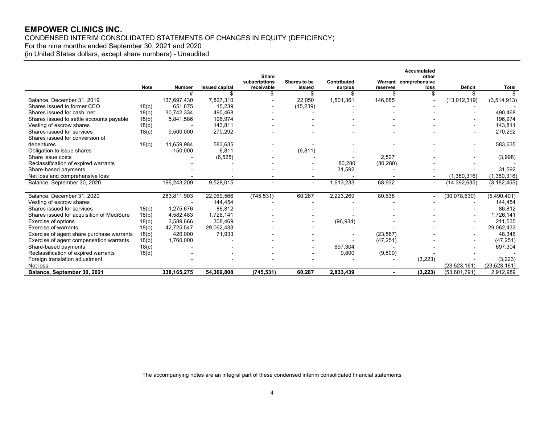CONDENSED INTERIM CONSOLIDATED STATEMENTS OF CHANGES IN EQUITY (DEFICIENCY)

For the nine months ended September 30, 2021 and 2020

(in United States dollars, except share numbers) - Unaudited

|                                           |             |               |                       |                             |                        |                        |                | Accumulated                   |                |                |
|-------------------------------------------|-------------|---------------|-----------------------|-----------------------------|------------------------|------------------------|----------------|-------------------------------|----------------|----------------|
|                                           |             |               |                       | <b>Share</b>                |                        |                        |                | other                         |                |                |
|                                           | <b>Note</b> | <b>Number</b> | <b>Issued capital</b> | subscriptions<br>receivable | Shares to be<br>issued | Contributed<br>surplus | reserves       | Warrant comprehensive<br>loss | <b>Deficit</b> | Total          |
|                                           |             | #             |                       |                             | S                      |                        |                |                               |                |                |
| Balance, December 31, 2019                |             | 137,697,430   | 7,827,310             |                             | 22,050                 | 1,501,361              | 146,685        |                               | (13,012,319)   | (3,514,913)    |
| Shares issued to former CEO               | 18(b)       | 651,875       | 15,239                |                             | (15, 239)              |                        |                |                               |                |                |
| Shares issued for cash, net               | 18(b)       | 30,742,334    | 490.468               |                             |                        |                        |                |                               |                | 490,468        |
| Shares issued to settle accounts payable  | 18(b)       | 5,841,586     | 196,974               |                             |                        |                        |                |                               |                | 196,974        |
| Vesting of escrow shares                  | 18(b)       |               | 143.811               |                             |                        |                        |                |                               |                | 143,811        |
| Shares issued for services                |             | 9,500,000     | 270,292               |                             |                        |                        |                |                               |                | 270,292        |
| Shares issued for conversion of           | 18(c)       |               |                       |                             |                        |                        |                |                               |                |                |
| debentures                                |             | 11,659,984    | 583,635               |                             |                        |                        |                |                               |                | 583,635        |
| Obligation to issue shares                | 18(b)       | 150,000       | 6,811                 |                             |                        |                        |                |                               |                |                |
|                                           |             |               |                       |                             | (6, 811)               |                        | 2,527          |                               |                |                |
| Share issue costs                         |             |               | (6, 525)              |                             |                        |                        |                |                               |                | (3,998)        |
| Reclassification of expired warrants      |             |               |                       |                             |                        | 80,280                 | (80, 280)      |                               |                |                |
| Share-based payments                      |             |               |                       |                             |                        | 31,592                 |                |                               |                | 31,592         |
| Net loss and comprehensive loss           |             |               |                       |                             |                        |                        |                |                               | (1,380,316)    | (1,380,316)    |
| Balance, September 30, 2020               |             | 196,243,209   | 9,528,015             | $\overline{a}$              | $\blacksquare$         | 1,613,233              | 68,932         |                               | (14, 392, 635) | (3, 182, 455)  |
|                                           |             |               |                       |                             |                        |                        |                |                               |                |                |
| Balance, December 31, 2020                |             | 283,811,903   | 22,969,566            | (745, 531)                  | 60,287                 | 2,223,269              | 80,638         |                               | (30,078,630)   | (5,490,401)    |
| Vesting of escrow shares                  |             |               | 144,454               |                             |                        |                        |                |                               |                | 144,454        |
| Shares issued for services                | 18(b)       | 1,275,676     | 86,812                |                             |                        |                        |                |                               |                | 86,812         |
| Shares issued for acquisition of MediSure | 18(b)       | 4,582,483     | 1,726,141             |                             |                        |                        |                |                               |                | 1,726,141      |
| Exercise of options                       | 18(b)       | 3,589,666     | 308,469               |                             |                        | (96, 934)              |                |                               |                | 211,535        |
| Exercise of warrants                      | 18(b)       | 42,725,547    | 29,062,433            |                             |                        |                        |                |                               |                | 29,062,433     |
| Exercise of agent share purchase warrants | 18(b)       | 420,000       | 71,933                |                             |                        |                        | (23, 587)      |                               |                | 48,346         |
| Exercise of agent compensation warrants   | 18(b)       | 1,760,000     |                       |                             |                        |                        | (47, 251)      |                               |                | (47, 251)      |
| Share-based payments                      | 18(c)       |               |                       |                             |                        | 697,304                |                |                               |                | 697,304        |
| Reclassification of expired warrants      | 18(d)       |               |                       |                             |                        | 9,800                  | (9,800)        |                               |                |                |
| Foreign translation adjustment            |             |               |                       |                             |                        |                        |                | (3,223)                       |                | (3,223)        |
| Net loss                                  |             |               |                       |                             |                        |                        |                |                               | (23, 523, 161) | (23, 523, 161) |
| Balance, September 30, 2021               |             | 338, 165, 275 | 54,369,808            | (745, 531)                  | 60,287                 | 2,833,439              | $\blacksquare$ | (3, 223)                      | (53,601,791)   | 2,912,989      |

The accompanying notes are an integral part of these condensed interim consolidated financial statements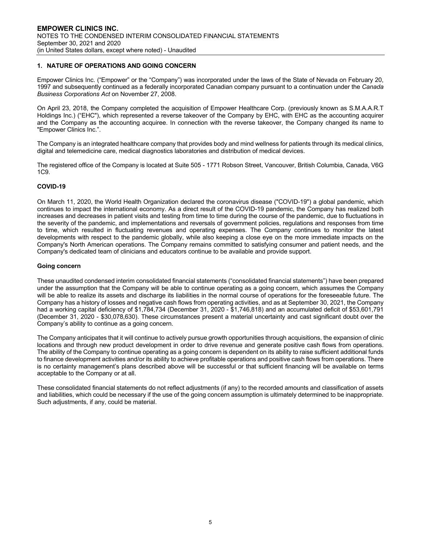# **1. NATURE OF OPERATIONS AND GOING CONCERN**

Empower Clinics Inc. ("Empower" or the "Company") was incorporated under the laws of the State of Nevada on February 20, 1997 and subsequently continued as a federally incorporated Canadian company pursuant to a continuation under the *Canada Business Corporations Act* on November 27, 2008.

On April 23, 2018, the Company completed the acquisition of Empower Healthcare Corp. (previously known as S.M.A.A.R.T Holdings Inc.) ("EHC"), which represented a reverse takeover of the Company by EHC, with EHC as the accounting acquirer and the Company as the accounting acquiree. In connection with the reverse takeover, the Company changed its name to "Empower Clinics Inc.".

The Company is an integrated healthcare company that provides body and mind wellness for patients through its medical clinics, digital and telemedicine care, medical diagnostics laboratories and distribution of medical devices.

The registered office of the Company is located at Suite 505 - 1771 Robson Street, Vancouver, British Columbia, Canada, V6G 1C9.

#### **COVID-19**

On March 11, 2020, the World Health Organization declared the coronavirus disease ("COVID-19") a global pandemic, which continues to impact the international economy. As a direct result of the COVID-19 pandemic, the Company has realized both increases and decreases in patient visits and testing from time to time during the course of the pandemic, due to fluctuations in the severity of the pandemic, and implementations and reversals of government policies, regulations and responses from time to time, which resulted in fluctuating revenues and operating expenses. The Company continues to monitor the latest developments with respect to the pandemic globally, while also keeping a close eye on the more immediate impacts on the Company's North American operations. The Company remains committed to satisfying consumer and patient needs, and the Company's dedicated team of clinicians and educators continue to be available and provide support.

#### **Going concern**

These unaudited condensed interim consolidated financial statements ("consolidated financial statements") have been prepared under the assumption that the Company will be able to continue operating as a going concern, which assumes the Company will be able to realize its assets and discharge its liabilities in the normal course of operations for the foreseeable future. The Company has a history of losses and negative cash flows from operating activities, and as at September 30, 2021, the Company had a working capital deficiency of \$1,784,734 (December 31, 2020 - \$1,746,818) and an accumulated deficit of \$53,601,791 (December 31, 2020 - \$30,078,630). These circumstances present a material uncertainty and cast significant doubt over the Company's ability to continue as a going concern.

The Company anticipates that it will continue to actively pursue growth opportunities through acquisitions, the expansion of clinic locations and through new product development in order to drive revenue and generate positive cash flows from operations. The ability of the Company to continue operating as a going concern is dependent on its ability to raise sufficient additional funds to finance development activities and/or its ability to achieve profitable operations and positive cash flows from operations. There is no certainty management's plans described above will be successful or that sufficient financing will be available on terms acceptable to the Company or at all.

These consolidated financial statements do not reflect adjustments (if any) to the recorded amounts and classification of assets and liabilities, which could be necessary if the use of the going concern assumption is ultimately determined to be inappropriate. Such adjustments, if any, could be material.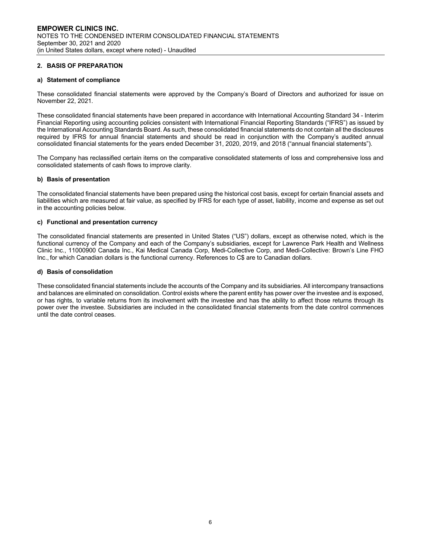#### **2. BASIS OF PREPARATION**

#### **a) Statement of compliance**

These consolidated financial statements were approved by the Company's Board of Directors and authorized for issue on November 22, 2021.

These consolidated financial statements have been prepared in accordance with International Accounting Standard 34 - Interim Financial Reporting using accounting policies consistent with International Financial Reporting Standards ("IFRS") as issued by the International Accounting Standards Board. As such, these consolidated financial statements do not contain all the disclosures required by IFRS for annual financial statements and should be read in conjunction with the Company's audited annual consolidated financial statements for the years ended December 31, 2020, 2019, and 2018 ("annual financial statements").

The Company has reclassified certain items on the comparative consolidated statements of loss and comprehensive loss and consolidated statements of cash flows to improve clarity.

#### **b) Basis of presentation**

The consolidated financial statements have been prepared using the historical cost basis, except for certain financial assets and liabilities which are measured at fair value, as specified by IFRS for each type of asset, liability, income and expense as set out in the accounting policies below.

#### **c) Functional and presentation currency**

The consolidated financial statements are presented in United States ("US") dollars, except as otherwise noted, which is the functional currency of the Company and each of the Company's subsidiaries, except for Lawrence Park Health and Wellness Clinic Inc., 11000900 Canada Inc., Kai Medical Canada Corp, Medi-Collective Corp, and Medi-Collective: Brown's Line FHO Inc., for which Canadian dollars is the functional currency. References to C\$ are to Canadian dollars.

#### **d) Basis of consolidation**

These consolidated financial statements include the accounts of the Company and its subsidiaries. All intercompany transactions and balances are eliminated on consolidation. Control exists where the parent entity has power over the investee and is exposed, or has rights, to variable returns from its involvement with the investee and has the ability to affect those returns through its power over the investee. Subsidiaries are included in the consolidated financial statements from the date control commences until the date control ceases.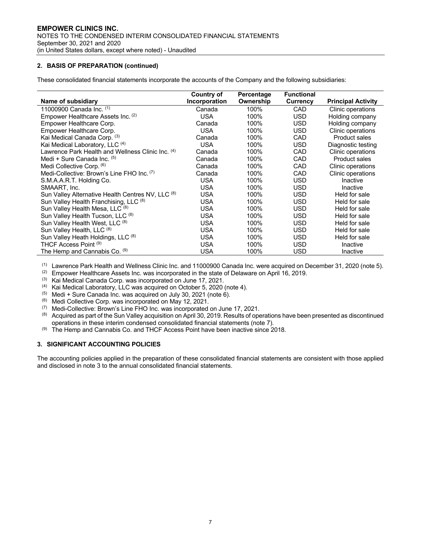# **2. BASIS OF PREPARATION (continued)**

These consolidated financial statements incorporate the accounts of the Company and the following subsidiaries:

|                                                              | <b>Country of</b> | Percentage | <b>Functional</b> |                           |
|--------------------------------------------------------------|-------------------|------------|-------------------|---------------------------|
| Name of subsidiary                                           | Incorporation     | Ownership  | <b>Currency</b>   | <b>Principal Activity</b> |
| 11000900 Canada Inc. (1)                                     | Canada            | 100%       | CAD               | Clinic operations         |
| Empower Healthcare Assets Inc. (2)                           | <b>USA</b>        | 100%       | <b>USD</b>        | Holding company           |
| Empower Healthcare Corp.                                     | Canada            | 100%       | USD               | Holding company           |
| Empower Healthcare Corp.                                     | <b>USA</b>        | 100%       | USD               | Clinic operations         |
| Kai Medical Canada Corp. (3)                                 | Canada            | 100%       | CAD               | <b>Product sales</b>      |
| Kai Medical Laboratory, LLC (4)                              | <b>USA</b>        | 100%       | USD               | Diagnostic testing        |
| Lawrence Park Health and Wellness Clinic Inc. <sup>(4)</sup> | Canada            | 100%       | CAD               | Clinic operations         |
| Medi + Sure Canada Inc. (5)                                  | Canada            | 100%       | CAD               | <b>Product sales</b>      |
| Medi Collective Corp. (6)                                    | Canada            | 100%       | CAD               | Clinic operations         |
| Medi-Collective: Brown's Line FHO Inc. (7)                   | Canada            | 100%       | CAD               | Clinic operations         |
| S.M.A.A.R.T. Holding Co.                                     | <b>USA</b>        | 100%       | USD               | Inactive                  |
| SMAART, Inc.                                                 | <b>USA</b>        | 100%       | USD               | Inactive                  |
| Sun Valley Alternative Health Centres NV, LLC (8)            | <b>USA</b>        | 100%       | USD               | Held for sale             |
| Sun Valley Health Franchising, LLC (8)                       | <b>USA</b>        | 100%       | USD               | Held for sale             |
| Sun Valley Health Mesa, LLC (8)                              | <b>USA</b>        | 100%       | USD               | Held for sale             |
| Sun Valley Health Tucson, LLC (8)                            | USA               | 100%       | USD               | Held for sale             |
| Sun Valley Health West, LLC (8)                              | <b>USA</b>        | 100%       | USD               | Held for sale             |
| Sun Valley Health, LLC (8)                                   | <b>USA</b>        | 100%       | USD               | Held for sale             |
| Sun Valley Heath Holdings, LLC (8)                           | <b>USA</b>        | 100%       | USD               | Held for sale             |
| THCF Access Point (9)                                        | <b>USA</b>        | 100%       | USD               | Inactive                  |
| The Hemp and Cannabis Co. (9)                                | USA               | 100%       | USD               | Inactive                  |

(1) Lawrence Park Health and Wellness Clinic Inc. and 11000900 Canada Inc. were acquired on December 31, 2020 (note 5).

(2) Empower Healthcare Assets Inc. was incorporated in the state of Delaware on April 16, 2019.

(3) Kai Medical Canada Corp. was incorporated on June 17, 2021.

(4) Kai Medical Laboratory, LLC was acquired on October 5, 2020 (note 4).

 $(5)$  Medi + Sure Canada Inc. was acquired on July 30, 2021 (note 6).

(6) Medi Collective Corp. was incorporated on May 12, 2021.<br>(7) Medi-Collective: Brown's Line FHO Inc. was incorporated

(7) Medi-Collective: Brown's Line FHO Inc. was incorporated on June 17, 2021.<br>(8) Acquired as part of the Sun Valley acquisition on April 30, 2019. Results of ope

Acquired as part of the Sun Valley acquisition on April 30, 2019. Results of operations have been presented as discontinued operations in these interim condensed consolidated financial statements (note 7).

 $(9)$  The Hemp and Cannabis Co. and THCF Access Point have been inactive since 2018.

#### **3. SIGNIFICANT ACCOUNTING POLICIES**

The accounting policies applied in the preparation of these consolidated financial statements are consistent with those applied and disclosed in note 3 to the annual consolidated financial statements.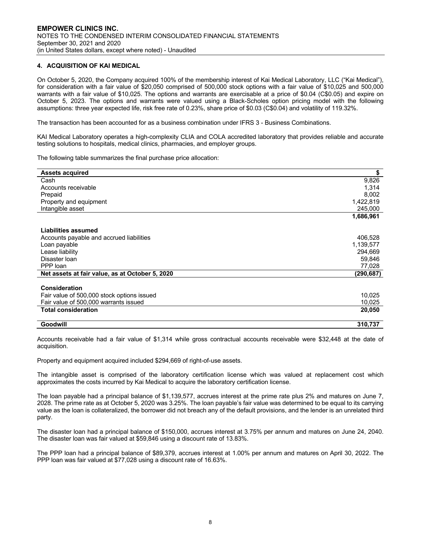# **4. ACQUISITION OF KAI MEDICAL**

On October 5, 2020, the Company acquired 100% of the membership interest of Kai Medical Laboratory, LLC ("Kai Medical"), for consideration with a fair value of \$20,050 comprised of 500,000 stock options with a fair value of \$10,025 and 500,000 warrants with a fair value of \$10,025. The options and warrants are exercisable at a price of \$0.04 (C\$0.05) and expire on October 5, 2023. The options and warrants were valued using a Black-Scholes option pricing model with the following assumptions: three year expected life, risk free rate of 0.23%, share price of \$0.03 (C\$0.04) and volatility of 119.32%.

The transaction has been accounted for as a business combination under IFRS 3 - Business Combinations.

KAI Medical Laboratory operates a high-complexity CLIA and COLA accredited laboratory that provides reliable and accurate testing solutions to hospitals, medical clinics, pharmacies, and employer groups.

The following table summarizes the final purchase price allocation:

| <b>Assets acquired</b>                          | \$        |
|-------------------------------------------------|-----------|
| Cash                                            | 9,826     |
| Accounts receivable                             | 1,314     |
| Prepaid                                         | 8,002     |
| Property and equipment                          | 1,422,819 |
| Intangible asset                                | 245,000   |
|                                                 | 1,686,961 |
| Liabilities assumed                             |           |
| Accounts payable and accrued liabilities        | 406,528   |
| Loan payable                                    | 1,139,577 |
| Lease liability                                 | 294,669   |
| Disaster Ioan                                   | 59,846    |
| PPP loan                                        | 77,028    |
| Net assets at fair value, as at October 5, 2020 | (290,687) |
| Consideration                                   |           |
|                                                 |           |
| Fair value of 500,000 stock options issued      | 10,025    |
| Fair value of 500,000 warrants issued           | 10,025    |
| <b>Total consideration</b>                      | 20,050    |
| Goodwill                                        | 310.737   |
|                                                 |           |

Accounts receivable had a fair value of \$1,314 while gross contractual accounts receivable were \$32,448 at the date of acquisition.

Property and equipment acquired included \$294,669 of right-of-use assets.

The intangible asset is comprised of the laboratory certification license which was valued at replacement cost which approximates the costs incurred by Kai Medical to acquire the laboratory certification license.

The loan payable had a principal balance of \$1,139,577, accrues interest at the prime rate plus 2% and matures on June 7, 2028. The prime rate as at October 5, 2020 was 3.25%. The loan payable's fair value was determined to be equal to its carrying value as the loan is collateralized, the borrower did not breach any of the default provisions, and the lender is an unrelated third party.

The disaster loan had a principal balance of \$150,000, accrues interest at 3.75% per annum and matures on June 24, 2040. The disaster loan was fair valued at \$59,846 using a discount rate of 13.83%.

The PPP loan had a principal balance of \$89,379, accrues interest at 1.00% per annum and matures on April 30, 2022. The PPP loan was fair valued at \$77,028 using a discount rate of 16.63%.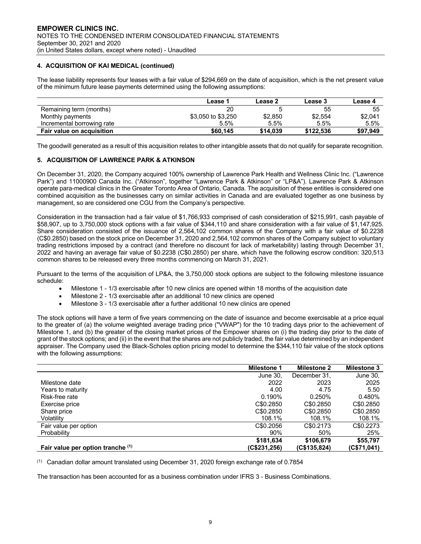# **4. ACQUISITION OF KAI MEDICAL (continued)**

The lease liability represents four leases with a fair value of \$294,669 on the date of acquisition, which is the net present value of the minimum future lease payments determined using the following assumptions:

|                            | Lease 1            | Lease 2  | Lease 3   | Lease 4  |
|----------------------------|--------------------|----------|-----------|----------|
| Remaining term (months)    | 20                 |          | 55        | 55       |
| Monthly payments           | \$3,050 to \$3,250 | \$2,850  | \$2,554   | \$2,041  |
| Incremental borrowing rate | 5.5%               | 5.5%     | 5.5%      | 5.5%     |
| Fair value on acquisition  | \$60.145           | \$14.039 | \$122.536 | \$97,949 |

The goodwill generated as a result of this acquisition relates to other intangible assets that do not qualify for separate recognition.

#### **5. ACQUISITION OF LAWRENCE PARK & ATKINSON**

On December 31, 2020, the Company acquired 100% ownership of Lawrence Park Health and Wellness Clinic Inc. ("Lawrence Park") and 11000900 Canada Inc. ("Atkinson", together "Lawrence Park & Atkinson" or "LP&A"). Lawrence Park & Atkinson operate para-medical clinics in the Greater Toronto Area of Ontario, Canada. The acquisition of these entities is considered one combined acquisition as the businesses carry on similar activities in Canada and are evaluated together as one business by management, so are considered one CGU from the Company's perspective.

Consideration in the transaction had a fair value of \$1,766,933 comprised of cash consideration of \$215,991, cash payable of \$58,907, up to 3,750,000 stock options with a fair value of \$344,110 and share consideration with a fair value of \$1,147,925. Share consideration consisted of the issuance of 2,564,102 common shares of the Company with a fair value of \$0.2238 (C\$0.2850) based on the stock price on December 31, 2020 and 2,564,102 common shares of the Company subject to voluntary trading restrictions imposed by a contract (and therefore no discount for lack of marketability) lasting through December 31, 2022 and having an average fair value of \$0.2238 (C\$0.2850) per share, which have the following escrow condition: 320,513 common shares to be released every three months commencing on March 31, 2021.

Pursuant to the terms of the acquisition of LP&A, the 3,750,000 stock options are subject to the following milestone issuance schedule:

- Milestone 1 1/3 exercisable after 10 new clinics are opened within 18 months of the acquisition date
- Milestone 2 1/3 exercisable after an additional 10 new clinics are opened
- Milestone 3 1/3 exercisable after a further additional 10 new clinics are opened

The stock options will have a term of five years commencing on the date of issuance and become exercisable at a price equal to the greater of (a) the volume weighted average trading price ("VWAP") for the 10 trading days prior to the achievement of Milestone 1, and (b) the greater of the closing market prices of the Empower shares on (i) the trading day prior to the date of grant of the stock options; and (ii) in the event that the shares are not publicly traded, the fair value determined by an independent appraiser. The Company used the Black-Scholes option pricing model to determine the \$344,110 fair value of the stock options with the following assumptions:

|                                   | <b>Milestone 1</b> | <b>Milestone 2</b> | <b>Milestone 3</b> |
|-----------------------------------|--------------------|--------------------|--------------------|
|                                   | June 30,           | December 31.       | June 30,           |
| Milestone date                    | 2022               | 2023               | 2025               |
| Years to maturity                 | 4.00               | 4.75               | 5.50               |
| Risk-free rate                    | 0.190%             | 0.250%             | 0.480%             |
| Exercise price                    | C\$0,2850          | C\$0.2850          | C\$0.2850          |
| Share price                       | C\$0,2850          | C\$0.2850          | C\$0.2850          |
| Volatility                        | 108.1%             | 108.1%             | 108.1%             |
| Fair value per option             | C\$0,2056          | C\$0.2173          | C\$0.2273          |
| Probability                       | 90%                | 50%                | 25%                |
|                                   | \$181.634          | \$106.679          | \$55,797           |
| Fair value per option tranche (1) | (C\$231,256)       | (C\$135,824)       | (C\$71,041)        |

 $(1)$  Canadian dollar amount translated using December 31, 2020 foreign exchange rate of 0.7854

The transaction has been accounted for as a business combination under IFRS 3 - Business Combinations.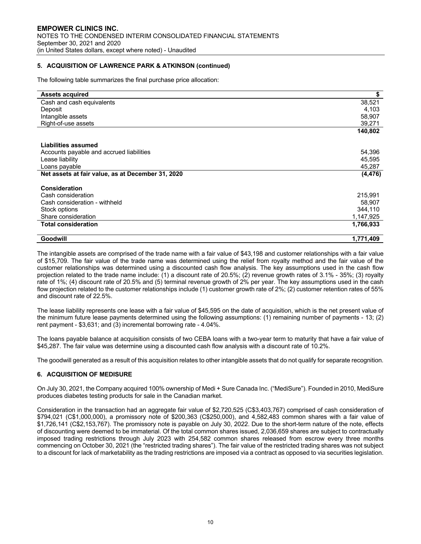# **5. ACQUISITION OF LAWRENCE PARK & ATKINSON (continued)**

The following table summarizes the final purchase price allocation:

| <b>Assets acquired</b>                            | \$        |
|---------------------------------------------------|-----------|
| Cash and cash equivalents                         | 38,521    |
| Deposit                                           | 4,103     |
| Intangible assets                                 | 58,907    |
| Right-of-use assets                               | 39,271    |
|                                                   | 140,802   |
|                                                   |           |
| Liabilities assumed                               |           |
| Accounts payable and accrued liabilities          | 54,396    |
| Lease liability                                   | 45,595    |
| Loans payable                                     | 45,287    |
| Net assets at fair value, as at December 31, 2020 | (4, 476)  |
| Consideration                                     |           |
|                                                   |           |
| Cash consideration                                | 215,991   |
| Cash consideration - withheld                     | 58,907    |
| Stock options                                     | 344,110   |
| Share consideration                               | 1,147,925 |
| <b>Total consideration</b>                        | 1,766,933 |
| Goodwill                                          | 1,771,409 |

The intangible assets are comprised of the trade name with a fair value of \$43,198 and customer relationships with a fair value of \$15,709. The fair value of the trade name was determined using the relief from royalty method and the fair value of the customer relationships was determined using a discounted cash flow analysis. The key assumptions used in the cash flow projection related to the trade name include: (1) a discount rate of 20.5%; (2) revenue growth rates of 3.1% - 35%; (3) royalty rate of 1%; (4) discount rate of 20.5% and (5) terminal revenue growth of 2% per year. The key assumptions used in the cash flow projection related to the customer relationships include (1) customer growth rate of 2%; (2) customer retention rates of 55% and discount rate of 22.5%.

The lease liability represents one lease with a fair value of \$45,595 on the date of acquisition, which is the net present value of the minimum future lease payments determined using the following assumptions: (1) remaining number of payments - 13; (2) rent payment - \$3,631; and (3) incremental borrowing rate - 4.04%.

The loans payable balance at acquisition consists of two CEBA loans with a two-year term to maturity that have a fair value of \$45,287. The fair value was determine using a discounted cash flow analysis with a discount rate of 10.2%.

The goodwill generated as a result of this acquisition relates to other intangible assets that do not qualify for separate recognition.

# **6. ACQUISITION OF MEDISURE**

On July 30, 2021, the Company acquired 100% ownership of Medi + Sure Canada Inc. ("MediSure"). Founded in 2010, MediSure produces diabetes testing products for sale in the Canadian market.

Consideration in the transaction had an aggregate fair value of \$2,720,525 (C\$3,403,767) comprised of cash consideration of \$794,021 (C\$1,000,000), a promissory note of \$200,363 (C\$250,000), and 4,582,483 common shares with a fair value of \$1,726,141 (C\$2,153,767). The promissory note is payable on July 30, 2022. Due to the short-term nature of the note, effects of discounting were deemed to be immaterial. Of the total common shares issued, 2,036,659 shares are subject to contractually imposed trading restrictions through July 2023 with 254,582 common shares released from escrow every three months commencing on October 30, 2021 (the "restricted trading shares"). The fair value of the restricted trading shares was not subject to a discount for lack of marketability as the trading restrictions are imposed via a contract as opposed to via securities legislation.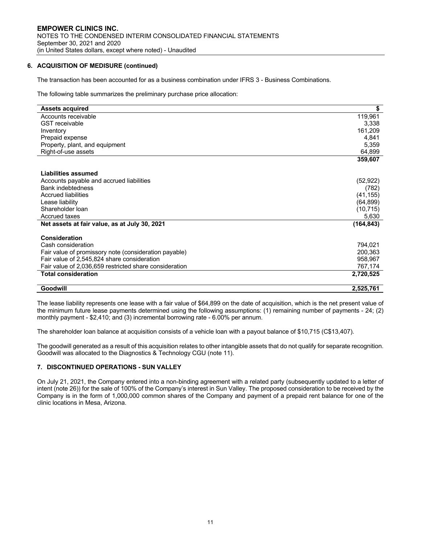# **6. ACQUISITION OF MEDISURE (continued)**

The transaction has been accounted for as a business combination under IFRS 3 - Business Combinations.

The following table summarizes the preliminary purchase price allocation:

| <b>Assets acquired</b>                                 | \$         |
|--------------------------------------------------------|------------|
| Accounts receivable                                    | 119,961    |
| <b>GST</b> receivable                                  | 3,338      |
| Inventory                                              | 161,209    |
| Prepaid expense                                        | 4,841      |
| Property, plant, and equipment                         | 5,359      |
| Right-of-use assets                                    | 64,899     |
|                                                        | 359,607    |
| Liabilities assumed                                    |            |
| Accounts payable and accrued liabilities               | (52, 922)  |
| <b>Bank indebtedness</b>                               | (782)      |
| <b>Accrued liabilities</b>                             | (41, 155)  |
| Lease liability                                        | (64, 899)  |
| Shareholder Ioan                                       | (10, 715)  |
| Accrued taxes                                          | 5,630      |
| Net assets at fair value, as at July 30, 2021          | (164, 843) |
| Consideration                                          |            |
| Cash consideration                                     | 794,021    |
| Fair value of promissory note (consideration payable)  | 200,363    |
| Fair value of 2,545,824 share consideration            | 958,967    |
| Fair value of 2,036,659 restricted share consideration | 767,174    |
| <b>Total consideration</b>                             | 2,720,525  |
| Goodwill                                               | 2,525,761  |

The lease liability represents one lease with a fair value of \$64,899 on the date of acquisition, which is the net present value of the minimum future lease payments determined using the following assumptions: (1) remaining number of payments - 24; (2) monthly payment - \$2,410; and (3) incremental borrowing rate - 6.00% per annum.

The shareholder loan balance at acquisition consists of a vehicle loan with a payout balance of \$10,715 (C\$13,407).

The goodwill generated as a result of this acquisition relates to other intangible assets that do not qualify for separate recognition. Goodwill was allocated to the Diagnostics & Technology CGU (note 11).

#### **7. DISCONTINUED OPERATIONS - SUN VALLEY**

On July 21, 2021, the Company entered into a non-binding agreement with a related party (subsequently updated to a letter of intent (note 26)) for the sale of 100% of the Company's interest in Sun Valley. The proposed consideration to be received by the Company is in the form of 1,000,000 common shares of the Company and payment of a prepaid rent balance for one of the clinic locations in Mesa, Arizona.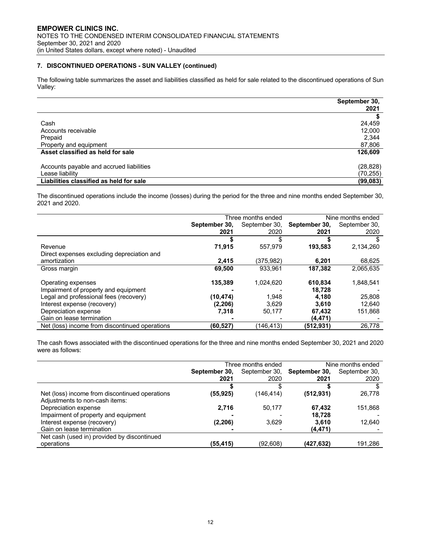#### **7. DISCONTINUED OPERATIONS - SUN VALLEY (continued)**

The following table summarizes the asset and liabilities classified as held for sale related to the discontinued operations of Sun Valley:

|                                          | September 30,<br>2021 |
|------------------------------------------|-----------------------|
|                                          |                       |
| Cash                                     | 24,459                |
| Accounts receivable                      | 12,000                |
| Prepaid                                  | 2,344                 |
| Property and equipment                   | 87,806                |
| Asset classified as held for sale        | 126,609               |
| Accounts payable and accrued liabilities | (28, 828)             |
| Lease liability                          | (70, 255)             |
| Liabilities classified as held for sale  | (99, 083)             |

The discontinued operations include the income (losses) during the period for the three and nine months ended September 30, 2021 and 2020.

|                                                |               | Three months ended |               | Nine months ended |
|------------------------------------------------|---------------|--------------------|---------------|-------------------|
|                                                | September 30, | September 30,      | September 30, | September 30,     |
|                                                | 2021          | 2020               | 2021          | 2020              |
|                                                |               | S                  |               | S.                |
| Revenue                                        | 71,915        | 557,979            | 193,583       | 2,134,260         |
| Direct expenses excluding depreciation and     |               |                    |               |                   |
| amortization                                   | 2,415         | (375,982)          | 6,201         | 68,625            |
| Gross margin                                   | 69,500        | 933.961            | 187,382       | 2.065.635         |
|                                                |               |                    |               |                   |
| Operating expenses                             | 135.389       | 1.024.620          | 610.834       | 1.848.541         |
| Impairment of property and equipment           |               |                    | 18.728        |                   |
| Legal and professional fees (recovery)         | (10,474)      | 1,948              | 4,180         | 25,808            |
| Interest expense (recovery)                    | (2,206)       | 3,629              | 3.610         | 12.640            |
| Depreciation expense                           | 7,318         | 50,177             | 67,432        | 151,868           |
| Gain on lease termination                      |               |                    | (4, 471)      |                   |
| Net (loss) income from discontinued operations | (60, 527)     | (146, 413)         | (512,931)     | 26,778            |

The cash flows associated with the discontinued operations for the three and nine months ended September 30, 2021 and 2020 were as follows:

|                                                | Three months ended |               | Nine months ended |               |
|------------------------------------------------|--------------------|---------------|-------------------|---------------|
|                                                | September 30,      | September 30, | September 30,     | September 30, |
|                                                | 2021               | 2020          | 2021              | 2020          |
|                                                |                    |               |                   |               |
| Net (loss) income from discontinued operations | (55,925)           | (146, 414)    | (512, 931)        | 26,778        |
| Adjustments to non-cash items:                 |                    |               |                   |               |
| Depreciation expense                           | 2,716              | 50,177        | 67.432            | 151,868       |
| Impairment of property and equipment           |                    |               | 18.728            |               |
| Interest expense (recovery)                    | (2, 206)           | 3,629         | 3.610             | 12,640        |
| Gain on lease termination                      |                    |               | (4, 471)          |               |
| Net cash (used in) provided by discontinued    |                    |               |                   |               |
| operations                                     | (55,415)           | (92,608)      | (427,632)         | 191,286       |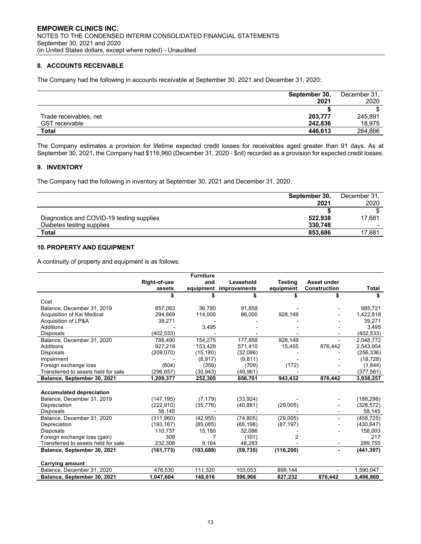# **8. ACCOUNTS RECEIVABLE**

The Company had the following in accounts receivable at September 30, 2021 and December 31, 2020:

|                        | September 30, | December 31, |
|------------------------|---------------|--------------|
|                        | 2021          | 2020         |
|                        |               |              |
| Trade receivables, net | 203,777       | 245.891      |
| <b>GST</b> receivable  | 242.836       | 18,975       |
| <b>Total</b>           | 446.613       | 264,866      |

The Company estimates a provision for lifetime expected credit losses for receivables aged greater than 91 days. As at September 30, 2021, the Company had \$116,960 (December 31, 2020 - \$nil) recorded as a provision for expected credit losses.

#### **9. INVENTORY**

The Company had the following in inventory at September 30, 2021 and December 31, 2020:

|                                           | September 30, | December 31, |
|-------------------------------------------|---------------|--------------|
|                                           | 2021          | 2020         |
|                                           |               |              |
| Diagnostics and COVID-19 testing supplies | 522.938       | 17.681       |
| Diabetes testing supplies                 | 330.748       |              |
| <b>Total</b>                              | 853.686       | 17,681       |

# **10. PROPERTY AND EQUIPMENT**

A continuity of property and equipment is as follows:

|                                     |              | <b>Furniture</b> |              |                |                     |            |
|-------------------------------------|--------------|------------------|--------------|----------------|---------------------|------------|
|                                     | Right-of-use | and              | Leasehold    | <b>Testing</b> | Asset under         |            |
|                                     | assets       | equipment        | improvements | equipment      | <b>Construction</b> | Total      |
|                                     |              |                  |              |                |                     |            |
| Cost                                |              |                  |              |                |                     |            |
| Balance, December 31, 2019          | 857,083      | 36,780           | 91.858       |                |                     | 985,721    |
| Acquisition of Kai Medical          | 294,669      | 114,000          | 86,000       | 928,149        |                     | 1,422,818  |
| Acquisition of LP&A                 | 39,271       |                  |              |                |                     | 39,271     |
| Additions                           |              | 3,495            |              |                |                     | 3,495      |
| <b>Disposals</b>                    | (402, 533)   |                  |              |                |                     | (402, 533) |
| Balance, December 31, 2020          | 788,490      | 154,275          | 177,858      | 928,149        |                     | 2,048,772  |
| Additions                           | 927,218      | 153,429          | 571,410      | 15,455         | 876,442             | 2,543,954  |
| <b>Disposals</b>                    | (209,070)    | (15, 180)        | (32,086)     |                |                     | (256, 336) |
| Impairment                          |              | (8,917)          | (9,811)      |                |                     | (18, 728)  |
| Foreign exchange loss               | (604)        | (359)            | (709)        | (172)          |                     | (1,844)    |
| Transferred to assets held for sale | (296,657)    | (30, 943)        | (49,961)     |                |                     | (377, 561) |
| Balance, September 30, 2021         | 1,209,377    | 252,305          | 656,701      | 943.432        | 876.442             | 3,938,257  |
|                                     |              |                  |              |                |                     |            |
| <b>Accumulated depreciation</b>     |              |                  |              |                |                     |            |
| Balance, December 31, 2019          | (147, 195)   | (7, 179)         | (33, 924)    |                |                     | (188, 298) |
| Depreciation                        | (222, 910)   | (35, 776)        | (40, 881)    | (29,005)       |                     | (328, 572) |
| <b>Disposals</b>                    | 58,145       |                  |              |                |                     | 58,145     |
| Balance, December 31, 2020          | (311,960)    | (42, 955)        | (74, 805)    | (29,005)       |                     | (458, 725) |
| Depreciation                        | (193, 167)   | (85,085)         | (65, 198)    | (87, 197)      |                     | (430, 647) |
| <b>Disposals</b>                    | 110,737      | 15,180           | 32,086       |                |                     | 158,003    |
| Foreign exchange loss (gain)        | 309          |                  | (101)        | 2              |                     | 217        |
| Transferred to assets held for sale | 232,308      | 9,164            | 48,283       |                | ۰                   | 289,755    |
| Balance, September 30, 2021         | (161, 773)   | (103, 689)       | (59, 735)    | (116, 200)     | $\blacksquare$      | (441, 397) |
|                                     |              |                  |              |                |                     |            |
| <b>Carrying amount</b>              |              |                  |              |                |                     |            |
| Balance, December 31, 2020          | 476,530      | 111,320          | 103,053      | 899,144        |                     | 1,590,047  |
| Balance, September 30, 2021         | 1.047.604    | 148.616          | 596.966      | 827,232        | 876.442             | 3.496.860  |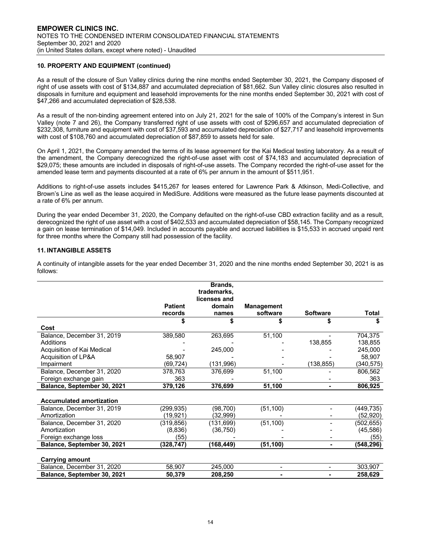# **10. PROPERTY AND EQUIPMENT (continued)**

As a result of the closure of Sun Valley clinics during the nine months ended September 30, 2021, the Company disposed of right of use assets with cost of \$134,887 and accumulated depreciation of \$81,662. Sun Valley clinic closures also resulted in disposals in furniture and equipment and leasehold improvements for the nine months ended September 30, 2021 with cost of \$47,266 and accumulated depreciation of \$28,538.

As a result of the non-binding agreement entered into on July 21, 2021 for the sale of 100% of the Company's interest in Sun Valley (note 7 and 26), the Company transferred right of use assets with cost of \$296,657 and accumulated depreciation of \$232,308, furniture and equipment with cost of \$37,593 and accumulated depreciation of \$27,717 and leasehold improvements with cost of \$108,760 and accumulated depreciation of \$87,859 to assets held for sale.

On April 1, 2021, the Company amended the terms of its lease agreement for the Kai Medical testing laboratory. As a result of the amendment, the Company derecognized the right-of-use asset with cost of \$74,183 and accumulated depreciation of \$29,075; these amounts are included in disposals of right-of-use assets. The Company recorded the right-of-use asset for the amended lease term and payments discounted at a rate of 6% per annum in the amount of \$511,951.

Additions to right-of-use assets includes \$415,267 for leases entered for Lawrence Park & Atkinson, Medi-Collective, and Brown's Line as well as the lease acquired in MediSure. Additions were measured as the future lease payments discounted at a rate of 6% per annum.

During the year ended December 31, 2020, the Company defaulted on the right-of-use CBD extraction facility and as a result, derecognized the right of use asset with a cost of \$402,533 and accumulated depreciation of \$58,145. The Company recognized a gain on lease termination of \$14,049. Included in accounts payable and accrued liabilities is \$15,533 in accrued unpaid rent for three months where the Company still had possession of the facility.

# **11. INTANGIBLE ASSETS**

A continuity of intangible assets for the year ended December 31, 2020 and the nine months ended September 30, 2021 is as follows:

|                                 |                | Brands,                     |                          |                 |            |
|---------------------------------|----------------|-----------------------------|--------------------------|-----------------|------------|
|                                 |                | trademarks,<br>licenses and |                          |                 |            |
|                                 | <b>Patient</b> | domain                      | <b>Management</b>        |                 |            |
|                                 | records        | names                       | software                 | <b>Software</b> | Total      |
|                                 |                |                             |                          |                 |            |
| Cost                            |                |                             |                          |                 |            |
| Balance, December 31, 2019      | 389,580        | 263,695                     | 51,100                   |                 | 704,375    |
| Additions                       |                |                             |                          | 138,855         | 138,855    |
| Acquisition of Kai Medical      |                | 245,000                     |                          |                 | 245,000    |
| Acquisition of LP&A             | 58,907         |                             |                          |                 | 58,907     |
| Impairment                      | (69, 724)      | (131, 996)                  |                          | (138, 855)      | (340, 575) |
| Balance, December 31, 2020      | 378,763        | 376,699                     | 51,100                   |                 | 806,562    |
| Foreign exchange gain           | 363            |                             |                          |                 | 363        |
| Balance, September 30, 2021     | 379,126        | 376,699                     | 51,100                   |                 | 806,925    |
| <b>Accumulated amortization</b> |                |                             |                          |                 |            |
| Balance, December 31, 2019      | (299,935)      | (98, 700)                   | (51, 100)                |                 | (449, 735) |
| Amortization                    | (19,921)       | (32, 999)                   |                          |                 | (52, 920)  |
| Balance, December 31, 2020      | (319, 856)     | (131, 699)                  | (51, 100)                |                 | (502, 655) |
| Amortization                    | (8,836)        | (36, 750)                   |                          |                 | (45, 586)  |
| Foreign exchange loss           | (55)           |                             |                          |                 | (55)       |
| Balance, September 30, 2021     | (328, 747)     | (168, 449)                  | (51, 100)                |                 | (548, 296) |
|                                 |                |                             |                          |                 |            |
| <b>Carrying amount</b>          |                |                             |                          |                 |            |
| Balance, December 31, 2020      | 58,907         | 245,000                     | $\overline{\phantom{0}}$ |                 | 303,907    |
| Balance, September 30, 2021     | 50,379         | 208,250                     |                          |                 | 258,629    |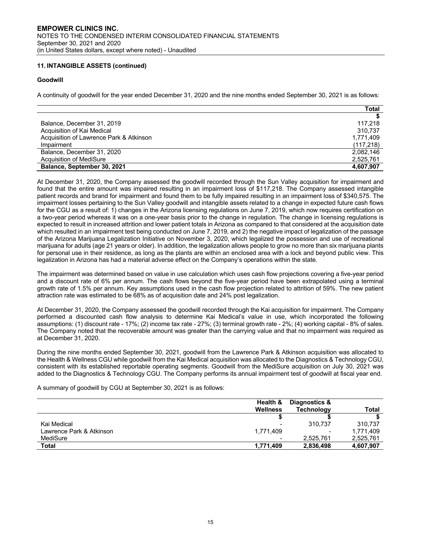# **11. INTANGIBLE ASSETS (continued)**

# **Goodwill**

A continuity of goodwill for the year ended December 31, 2020 and the nine months ended September 30, 2021 is as follows:

|                                         | Total      |
|-----------------------------------------|------------|
|                                         |            |
| Balance, December 31, 2019              | 117.218    |
| Acquisition of Kai Medical              | 310.737    |
| Acquisition of Lawrence Park & Atkinson | 1.771.409  |
| Impairment                              | (117, 218) |
| Balance, December 31, 2020              | 2.082.146  |
| Acquisition of MediSure                 | 2,525,761  |
| Balance, September 30, 2021             | 4,607,907  |

At December 31, 2020, the Company assessed the goodwill recorded through the Sun Valley acquisition for impairment and found that the entire amount was impaired resulting in an impairment loss of \$117,218. The Company assessed intangible patient records and brand for impairment and found them to be fully impaired resulting in an impairment loss of \$340,575. The impairment losses pertaining to the Sun Valley goodwill and intangible assets related to a change in expected future cash flows for the CGU as a result of: 1) changes in the Arizona licensing regulations on June 7, 2019, which now requires certification on a two-year period whereas it was on a one-year basis prior to the change in regulation. The change in licensing regulations is expected to result in increased attrition and lower patient totals in Arizona as compared to that considered at the acquisition date which resulted in an impairment test being conducted on June 7, 2019, and 2) the negative impact of legalization of the passage of the Arizona Marijuana Legalization Initiative on November 3, 2020, which legalized the possession and use of recreational marijuana for adults (age 21 years or older). In addition, the legalization allows people to grow no more than six marijuana plants for personal use in their residence, as long as the plants are within an enclosed area with a lock and beyond public view. This legalization in Arizona has had a material adverse effect on the Company's operations within the state.

The impairment was determined based on value in use calculation which uses cash flow projections covering a five-year period and a discount rate of 6% per annum. The cash flows beyond the five-year period have been extrapolated using a terminal growth rate of 1.5% per annum. Key assumptions used in the cash flow projection related to attrition of 59%. The new patient attraction rate was estimated to be 68% as of acquisition date and 24% post legalization.

At December 31, 2020, the Company assessed the goodwill recorded through the Kai acquisition for impairment. The Company performed a discounted cash flow analysis to determine Kai Medical's value in use, which incorporated the following assumptions: (1) discount rate - 17%; (2) income tax rate - 27%; (3) terminal growth rate - 2%; (4) working capital - 8% of sales. The Company noted that the recoverable amount was greater than the carrying value and that no impairment was required as at December 31, 2020.

During the nine months ended September 30, 2021, goodwill from the Lawrence Park & Atkinson acquisition was allocated to the Health & Wellness CGU while goodwill from the Kai Medical acquisition was allocated to the Diagnostics & Technology CGU, consistent with its established reportable operating segments. Goodwill from the MediSure acquisition on July 30, 2021 was added to the Diagnostics & Technology CGU. The Company performs its annual impairment test of goodwill at fiscal year end.

A summary of goodwill by CGU at September 30, 2021 is as follows:

|                          | Health &                 | Diagnostics &     |              |
|--------------------------|--------------------------|-------------------|--------------|
|                          | <b>Wellness</b>          | <b>Technology</b> | <b>Total</b> |
|                          |                          |                   |              |
| Kai Medical              | $\overline{\phantom{0}}$ | 310.737           | 310.737      |
| Lawrence Park & Atkinson | 1,771,409                |                   | 1.771.409    |
| MediSure                 | $\blacksquare$           | 2,525,761         | 2,525,761    |
| <b>Total</b>             | 1.771.409                | 2,836,498         | 4,607,907    |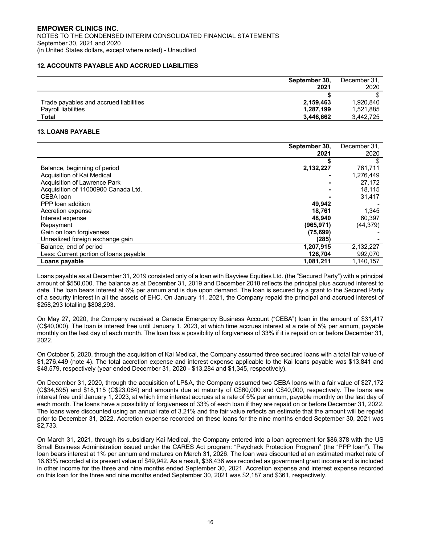# **12. ACCOUNTS PAYABLE AND ACCRUED LIABILITIES**

|                                        | September 30. | December 31, |
|----------------------------------------|---------------|--------------|
|                                        | 2021          | 2020         |
|                                        |               |              |
| Trade payables and accrued liabilities | 2,159,463     | 1.920.840    |
| Pavroll liabilities                    | 1.287.199     | 1.521.885    |
| <b>Total</b>                           | 3.446.662     | 3.442.725    |

#### **13. LOANS PAYABLE**

|                                        | September 30, | December 31, |
|----------------------------------------|---------------|--------------|
|                                        | 2021          | 2020         |
|                                        |               | S            |
| Balance, beginning of period           | 2,132,227     | 761,711      |
| Acquisition of Kai Medical             |               | 1,276,449    |
| Acquisition of Lawrence Park           |               | 27.172       |
| Acquisition of 11000900 Canada Ltd.    |               | 18,115       |
| CEBA loan                              |               | 31,417       |
| PPP loan addition                      | 49,942        |              |
| Accretion expense                      | 18,761        | 1,345        |
| Interest expense                       | 48.940        | 60,397       |
| Repayment                              | (965, 971)    | (44, 379)    |
| Gain on loan forgiveness               | (75, 699)     |              |
| Unrealized foreign exchange gain       | (285)         |              |
| Balance, end of period                 | 1,207,915     | 2,132,227    |
| Less: Current portion of loans payable | 126.704       | 992,070      |
| Loans payable                          | 1,081,211     | 1,140,157    |

Loans payable as at December 31, 2019 consisted only of a loan with Bayview Equities Ltd. (the "Secured Party") with a principal amount of \$550,000. The balance as at December 31, 2019 and December 2018 reflects the principal plus accrued interest to date. The loan bears interest at 6% per annum and is due upon demand. The loan is secured by a grant to the Secured Party of a security interest in all the assets of EHC. On January 11, 2021, the Company repaid the principal and accrued interest of \$258,293 totalling \$808,293.

On May 27, 2020, the Company received a Canada Emergency Business Account ("CEBA") loan in the amount of \$31,417 (C\$40,000). The loan is interest free until January 1, 2023, at which time accrues interest at a rate of 5% per annum, payable monthly on the last day of each month. The loan has a possibility of forgiveness of 33% if it is repaid on or before December 31, 2022.

On October 5, 2020, through the acquisition of Kai Medical, the Company assumed three secured loans with a total fair value of \$1,276,449 (note 4). The total accretion expense and interest expense applicable to the Kai loans payable was \$13,841 and \$48,579, respectively (year ended December 31, 2020 - \$13,284 and \$1,345, respectively).

On December 31, 2020, through the acquisition of LP&A, the Company assumed two CEBA loans with a fair value of \$27,172 (C\$34,595) and \$18,115 (C\$23,064) and amounts due at maturity of C\$60,000 and C\$40,000, respectively. The loans are interest free until January 1, 2023, at which time interest accrues at a rate of 5% per annum, payable monthly on the last day of each month. The loans have a possibility of forgiveness of 33% of each loan if they are repaid on or before December 31, 2022. The loans were discounted using an annual rate of 3.21% and the fair value reflects an estimate that the amount will be repaid prior to December 31, 2022. Accretion expense recorded on these loans for the nine months ended September 30, 2021 was \$2,733.

On March 31, 2021, through its subsidiary Kai Medical, the Company entered into a loan agreement for \$86,378 with the US Small Business Administration issued under the CARES Act program: "Paycheck Protection Program" (the "PPP loan"). The loan bears interest at 1% per annum and matures on March 31, 2026. The loan was discounted at an estimated market rate of 16.63% recorded at its present value of \$49,942. As a result, \$36,436 was recorded as government grant income and is included in other income for the three and nine months ended September 30, 2021. Accretion expense and interest expense recorded on this loan for the three and nine months ended September 30, 2021 was \$2,187 and \$361, respectively.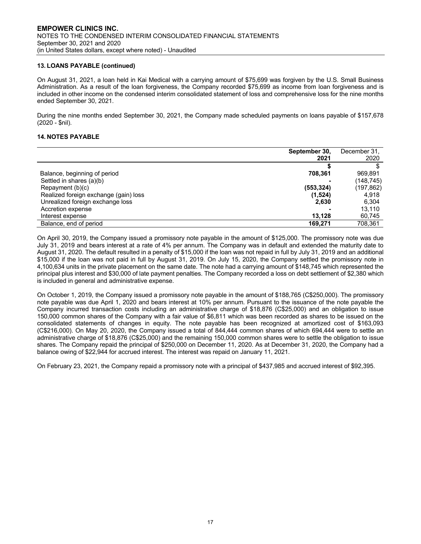#### **13. LOANS PAYABLE (continued)**

On August 31, 2021, a loan held in Kai Medical with a carrying amount of \$75,699 was forgiven by the U.S. Small Business Administration. As a result of the loan forgiveness, the Company recorded \$75,699 as income from loan forgiveness and is included in other income on the condensed interim consolidated statement of loss and comprehensive loss for the nine months ended September 30, 2021.

During the nine months ended September 30, 2021, the Company made scheduled payments on loans payable of \$157,678 (2020 - \$nil).

#### **14. NOTES PAYABLE**

|                                       | September 30, | December 31, |
|---------------------------------------|---------------|--------------|
|                                       | 2021          | 2020         |
|                                       |               |              |
| Balance, beginning of period          | 708.361       | 969,891      |
| Settled in shares (a)(b)              |               | (148, 745)   |
| Repayment (b)(c)                      | (553, 324)    | (197, 862)   |
| Realized foreign exchange (gain) loss | (1,524)       | 4,918        |
| Unrealized foreign exchange loss      | 2,630         | 6.304        |
| Accretion expense                     |               | 13.110       |
| Interest expense                      | 13.128        | 60,745       |
| Balance, end of period                | 169.271       | 708,361      |

On April 30, 2019, the Company issued a promissory note payable in the amount of \$125,000. The promissory note was due July 31, 2019 and bears interest at a rate of 4% per annum. The Company was in default and extended the maturity date to August 31, 2020. The default resulted in a penalty of \$15,000 if the loan was not repaid in full by July 31, 2019 and an additional \$15,000 if the loan was not paid in full by August 31, 2019. On July 15, 2020, the Company settled the promissory note in 4,100,634 units in the private placement on the same date. The note had a carrying amount of \$148,745 which represented the principal plus interest and \$30,000 of late payment penalties. The Company recorded a loss on debt settlement of \$2,380 which is included in general and administrative expense.

On October 1, 2019, the Company issued a promissory note payable in the amount of \$188,765 (C\$250,000). The promissory note payable was due April 1, 2020 and bears interest at 10% per annum. Pursuant to the issuance of the note payable the Company incurred transaction costs including an administrative charge of \$18,876 (C\$25,000) and an obligation to issue 150,000 common shares of the Company with a fair value of \$6,811 which was been recorded as shares to be issued on the consolidated statements of changes in equity. The note payable has been recognized at amortized cost of \$163,093 (C\$216,000). On May 20, 2020, the Company issued a total of 844,444 common shares of which 694,444 were to settle an administrative charge of \$18,876 (C\$25,000) and the remaining 150,000 common shares were to settle the obligation to issue shares. The Company repaid the principal of \$250,000 on December 11, 2020. As at December 31, 2020, the Company had a balance owing of \$22,944 for accrued interest. The interest was repaid on January 11, 2021.

On February 23, 2021, the Company repaid a promissory note with a principal of \$437,985 and accrued interest of \$92,395.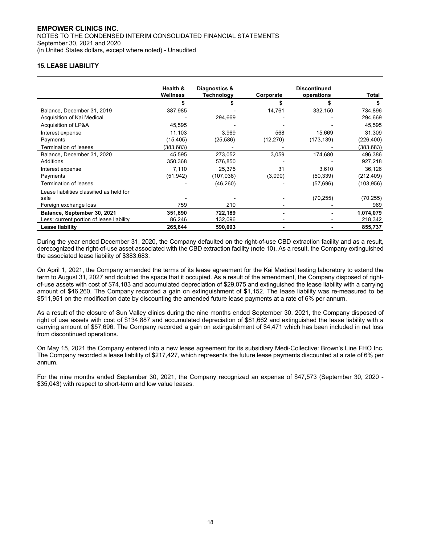# **15. LEASE LIABILITY**

|                                          | Health &  | Diagnostics & | <b>Discontinued</b> |            |            |
|------------------------------------------|-----------|---------------|---------------------|------------|------------|
|                                          | Wellness  | Technology    | Corporate           | operations | Total      |
|                                          |           |               |                     |            |            |
| Balance, December 31, 2019               | 387,985   |               | 14,761              | 332,150    | 734,896    |
| Acquisition of Kai Medical               |           | 294,669       |                     |            | 294,669    |
| Acquisition of LP&A                      | 45,595    |               |                     |            | 45,595     |
| Interest expense                         | 11,103    | 3,969         | 568                 | 15,669     | 31,309     |
| Payments                                 | (15, 405) | (25, 586)     | (12, 270)           | (173,139)  | (226,400)  |
| <b>Termination of leases</b>             | (383,683) |               |                     |            | (383,683)  |
| Balance, December 31, 2020               | 45.595    | 273,052       | 3,059               | 174,680    | 496,386    |
| Additions                                | 350,368   | 576,850       |                     |            | 927,218    |
| Interest expense                         | 7,110     | 25,375        | 31                  | 3,610      | 36,126     |
| Payments                                 | (51, 942) | (107, 038)    | (3,090)             | (50, 339)  | (212, 409) |
| <b>Termination of leases</b>             |           | (46, 260)     |                     | (57, 696)  | (103, 956) |
| Lease liabilities classified as held for |           |               |                     |            |            |
| sale                                     |           |               |                     | (70, 255)  | (70, 255)  |
| Foreign exchange loss                    | 759       | 210           |                     |            | 969        |
| Balance, September 30, 2021              | 351,890   | 722,189       |                     |            | 1,074,079  |
| Less: current portion of lease liability | 86,246    | 132,096       |                     |            | 218,342    |
| <b>Lease liability</b>                   | 265,644   | 590,093       |                     |            | 855,737    |

During the year ended December 31, 2020, the Company defaulted on the right-of-use CBD extraction facility and as a result, derecognized the right-of-use asset associated with the CBD extraction facility (note 10). As a result, the Company extinguished the associated lease liability of \$383,683.

On April 1, 2021, the Company amended the terms of its lease agreement for the Kai Medical testing laboratory to extend the term to August 31, 2027 and doubled the space that it occupied. As a result of the amendment, the Company disposed of rightof-use assets with cost of \$74,183 and accumulated depreciation of \$29,075 and extinguished the lease liability with a carrying amount of \$46,260. The Company recorded a gain on extinguishment of \$1,152. The lease liability was re-measured to be \$511,951 on the modification date by discounting the amended future lease payments at a rate of 6% per annum.

As a result of the closure of Sun Valley clinics during the nine months ended September 30, 2021, the Company disposed of right of use assets with cost of \$134,887 and accumulated depreciation of \$81,662 and extinguished the lease liability with a carrying amount of \$57,696. The Company recorded a gain on extinguishment of \$4,471 which has been included in net loss from discontinued operations.

On May 15, 2021 the Company entered into a new lease agreement for its subsidiary Medi-Collective: Brown's Line FHO Inc. The Company recorded a lease liability of \$217,427, which represents the future lease payments discounted at a rate of 6% per annum.

For the nine months ended September 30, 2021, the Company recognized an expense of \$47,573 (September 30, 2020 - \$35,043) with respect to short-term and low value leases.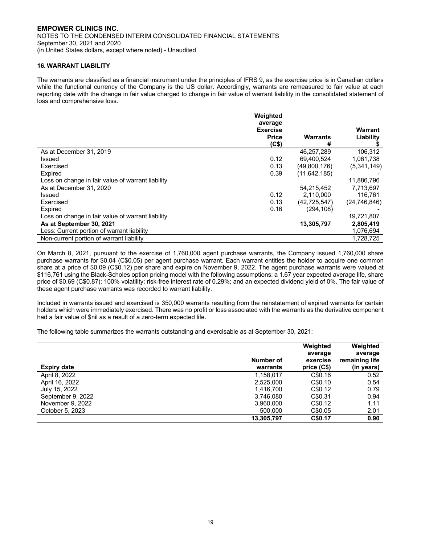# **16. WARRANT LIABILITY**

The warrants are classified as a financial instrument under the principles of IFRS 9, as the exercise price is in Canadian dollars while the functional currency of the Company is the US dollar. Accordingly, warrants are remeasured to fair value at each reporting date with the change in fair value charged to change in fair value of warrant liability in the consolidated statement of loss and comprehensive loss.

|                                                   | Weighted                   |                |                |
|---------------------------------------------------|----------------------------|----------------|----------------|
|                                                   | average<br><b>Exercise</b> |                | Warrant        |
|                                                   | <b>Price</b><br>(C\$)      | Warrants<br>#  | Liability      |
| As at December 31, 2019                           |                            | 46,257,289     | 106,312        |
| Issued                                            | 0.12                       | 69.400.524     | 1,061,738      |
| Exercised                                         | 0.13                       | (49,800,176)   | (5,341,149)    |
| Expired                                           | 0.39                       | (11, 642, 185) |                |
| Loss on change in fair value of warrant liability |                            |                | 11.886.796     |
| As at December 31, 2020                           |                            | 54.215.452     | 7.713.697      |
| Issued                                            | 0.12                       | 2,110,000      | 116.761        |
| Exercised                                         | 0.13                       | (42, 725, 547) | (24, 746, 846) |
| Expired                                           | 0.16                       | (294, 108)     |                |
| Loss on change in fair value of warrant liability |                            |                | 19,721,807     |
| As at September 30, 2021                          |                            | 13,305,797     | 2,805,419      |
| Less: Current portion of warrant liability        |                            |                | 1,076,694      |
| Non-current portion of warrant liability          |                            |                | 1.728.725      |

On March 8, 2021, pursuant to the exercise of 1,760,000 agent purchase warrants, the Company issued 1,760,000 share purchase warrants for \$0.04 (C\$0.05) per agent purchase warrant. Each warrant entitles the holder to acquire one common share at a price of \$0.09 (C\$0.12) per share and expire on November 9, 2022. The agent purchase warrants were valued at \$116,761 using the Black-Scholes option pricing model with the following assumptions: a 1.67 year expected average life, share price of \$0.69 (C\$0.87); 100% volatility; risk-free interest rate of 0.29%; and an expected dividend yield of 0%. The fair value of these agent purchase warrants was recorded to warrant liability.

Included in warrants issued and exercised is 350,000 warrants resulting from the reinstatement of expired warrants for certain holders which were immediately exercised. There was no profit or loss associated with the warrants as the derivative component had a fair value of \$nil as a result of a zero-term expected life.

The following table summarizes the warrants outstanding and exercisable as at September 30, 2021:

| <b>Expiry date</b> | Number of<br>warrants | Weighted<br>average<br>exercise<br>price (C\$) | Weighted<br>average<br>remaining life<br>(in years) |
|--------------------|-----------------------|------------------------------------------------|-----------------------------------------------------|
| April 8, 2022      | 1.158.017             | C\$0.16                                        | 0.52                                                |
| April 16, 2022     | 2,525,000             | C\$0.10                                        | 0.54                                                |
| July 15, 2022      | 1.416.700             | C\$0.12                                        | 0.79                                                |
| September 9, 2022  | 3.746.080             | C\$0.31                                        | 0.94                                                |
| November 9, 2022   | 3,960,000             | C\$0.12                                        | 1.11                                                |
| October 5, 2023    | 500,000               | C\$0.05                                        | 2.01                                                |
|                    | 13,305,797            | C\$0.17                                        | 0.90                                                |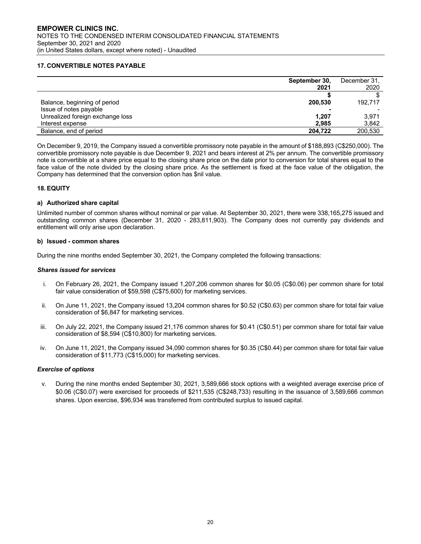#### **17. CONVERTIBLE NOTES PAYABLE**

|                                  | September 30,<br>2021 | December 31,<br>2020 |
|----------------------------------|-----------------------|----------------------|
|                                  |                       |                      |
| Balance, beginning of period     | 200,530               | 192.717              |
| Issue of notes payable           |                       |                      |
| Unrealized foreign exchange loss | 1,207                 | 3.971                |
| Interest expense                 | 2.985                 | 3,842                |
| Balance, end of period           | 204.722               | 200,530              |

On December 9, 2019, the Company issued a convertible promissory note payable in the amount of \$188,893 (C\$250,000). The convertible promissory note payable is due December 9, 2021 and bears interest at 2% per annum. The convertible promissory note is convertible at a share price equal to the closing share price on the date prior to conversion for total shares equal to the face value of the note divided by the closing share price. As the settlement is fixed at the face value of the obligation, the Company has determined that the conversion option has \$nil value.

#### **18. EQUITY**

#### **a) Authorized share capital**

Unlimited number of common shares without nominal or par value. At September 30, 2021, there were 338,165,275 issued and outstanding common shares (December 31, 2020 - 283,811,903). The Company does not currently pay dividends and entitlement will only arise upon declaration.

#### **b) Issued - common shares**

During the nine months ended September 30, 2021, the Company completed the following transactions:

#### *Shares issued for services*

- i. On February 26, 2021, the Company issued 1,207,206 common shares for \$0.05 (C\$0.06) per common share for total fair value consideration of \$59,598 (C\$75,600) for marketing services.
- ii. On June 11, 2021, the Company issued 13,204 common shares for \$0.52 (C\$0.63) per common share for total fair value consideration of \$6,847 for marketing services.
- iii. On July 22, 2021, the Company issued 21,176 common shares for \$0.41 (C\$0.51) per common share for total fair value consideration of \$8,594 (C\$10,800) for marketing services.
- iv. On June 11, 2021, the Company issued 34,090 common shares for \$0.35 (C\$0.44) per common share for total fair value consideration of \$11,773 (C\$15,000) for marketing services.

#### *Exercise of options*

v. During the nine months ended September 30, 2021, 3,589,666 stock options with a weighted average exercise price of \$0.06 (C\$0.07) were exercised for proceeds of \$211,535 (C\$248,733) resulting in the issuance of 3,589,666 common shares. Upon exercise, \$96,934 was transferred from contributed surplus to issued capital.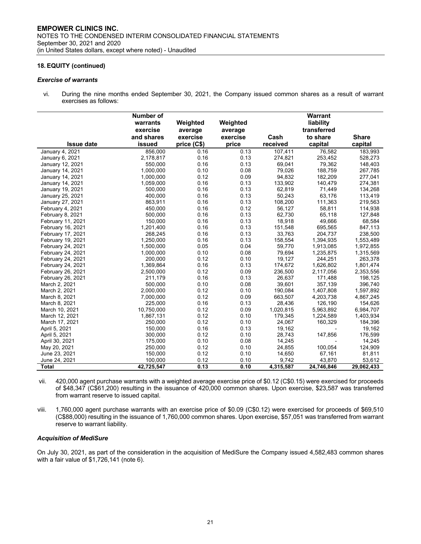#### *Exercise of warrants*

vi. During the nine months ended September 30, 2021, the Company issued common shares as a result of warrant exercises as follows:

|                   | Number of  |             |          |           | <b>Warrant</b> |              |
|-------------------|------------|-------------|----------|-----------|----------------|--------------|
|                   | warrants   | Weighted    | Weighted |           | liability      |              |
|                   | exercise   | average     | average  |           | transferred    |              |
|                   | and shares | exercise    | exercise | Cash      | to share       | <b>Share</b> |
| <b>Issue date</b> | issued     | price (C\$) | price    | received  | capital        | capital      |
| January 4, 2021   | 856,000    | 0.16        | 0.13     | 107,411   | 76,582         | 183,993      |
| January 6, 2021   | 2,178,817  | 0.16        | 0.13     | 274,821   | 253,452        | 528,273      |
| January 12, 2021  | 550,000    | 0.16        | 0.13     | 69,041    | 79,362         | 148,403      |
| January 14, 2021  | 1,000,000  | 0.10        | 0.08     | 79,026    | 188,759        | 267,785      |
| January 14, 2021  | 1,000,000  | 0.12        | 0.09     | 94,832    | 182,209        | 277,041      |
| January 14, 2021  | 1,059,000  | 0.16        | 0.13     | 133,902   | 140.479        | 274,381      |
| January 19, 2021  | 500,000    | 0.16        | 0.13     | 62,819    | 71,449         | 134,268      |
| January 25, 2021  | 400,000    | 0.16        | 0.13     | 50,243    | 63,176         | 113,419      |
| January 27, 2021  | 863,911    | 0.16        | 0.13     | 108,200   | 111,363        | 219,563      |
| February 4, 2021  | 450,000    | 0.16        | 0.12     | 56,127    | 58,811         | 114,938      |
| February 8, 2021  | 500.000    | 0.16        | 0.13     | 62.730    | 65,118         | 127,848      |
| February 11, 2021 | 150,000    | 0.16        | 0.13     | 18,918    | 49,666         | 68,584       |
| February 16, 2021 | 1,201,400  | 0.16        | 0.13     | 151,548   | 695,565        | 847,113      |
| February 17, 2021 | 268,245    | 0.16        | 0.13     | 33,763    | 204,737        | 238,500      |
| February 19, 2021 | 1,250,000  | 0.16        | 0.13     | 158,554   | 1,394,935      | 1,553,489    |
| February 24, 2021 | 1,500,000  | 0.05        | 0.04     | 59,770    | 1,913,085      | 1,972,855    |
| February 24, 2021 | 1,000,000  | 0.10        | 0.08     | 79,694    | 1,235,875      | 1,315,569    |
| February 24, 2021 | 200,000    | 0.12        | 0.10     | 19,127    | 244,251        | 263,378      |
| February 24, 2021 | 1,369,864  | 0.16        | 0.13     | 174,672   | 1,626,802      | 1,801,474    |
| February 26, 2021 | 2,500,000  | 0.12        | 0.09     | 236,500   | 2,117,056      | 2,353,556    |
| February 26, 2021 | 211,179    | 0.16        | 0.13     | 26,637    | 171,488        | 198,125      |
| March 2, 2021     | 500,000    | 0.10        | 0.08     | 39,601    | 357,139        | 396,740      |
| March 2, 2021     | 2,000,000  | 0.12        | 0.10     | 190,084   | 1,407,808      | 1,597,892    |
| March 8, 2021     | 7,000,000  | 0.12        | 0.09     | 663,507   | 4,203,738      | 4,867,245    |
| March 8, 2021     | 225,000    | 0.16        | 0.13     | 28,436    | 126,190        | 154,626      |
| March 10, 2021    | 10,750,000 | 0.12        | 0.09     | 1,020,815 | 5,963,892      | 6,984,707    |
| March 12, 2021    | 1,867,131  | 0.12        | 0.10     | 179,345   | 1,224,589      | 1,403,934    |
| March 17, 2021    | 250,000    | 0.12        | 0.10     | 24,067    | 160,329        | 184,396      |
| April 5, 2021     | 150,000    | 0.16        | 0.13     | 19,162    |                | 19,162       |
| April 5, 2021     | 300,000    | 0.12        | 0.10     | 28,743    | 147,856        | 176,599      |
| April 30, 2021    | 175,000    | 0.10        | 0.08     | 14,245    |                | 14,245       |
| May 20, 2021      | 250,000    | 0.12        | 0.10     | 24,855    | 100.054        | 124,909      |
| June 23, 2021     | 150,000    | 0.12        | 0.10     | 14,650    | 67,161         | 81,811       |
| June 24, 2021     | 100,000    | 0.12        | 0.10     | 9,742     | 43,870         | 53,612       |
| Total             | 42,725,547 | 0.13        | 0.10     | 4,315,587 | 24,746,846     | 29,062,433   |

vii. 420,000 agent purchase warrants with a weighted average exercise price of \$0.12 (C\$0.15) were exercised for proceeds of \$48,347 (C\$61,200) resulting in the issuance of 420,000 common shares. Upon exercise, \$23,587 was transferred from warrant reserve to issued capital.

viii. 1,760,000 agent purchase warrants with an exercise price of \$0.09 (C\$0.12) were exercised for proceeds of \$69,510 (C\$88,000) resulting in the issuance of 1,760,000 common shares. Upon exercise, \$57,051 was transferred from warrant reserve to warrant liability.

#### *Acquisition of MediSure*

On July 30, 2021, as part of the consideration in the acquisition of MediSure the Company issued 4,582,483 common shares with a fair value of \$1,726,141 (note 6).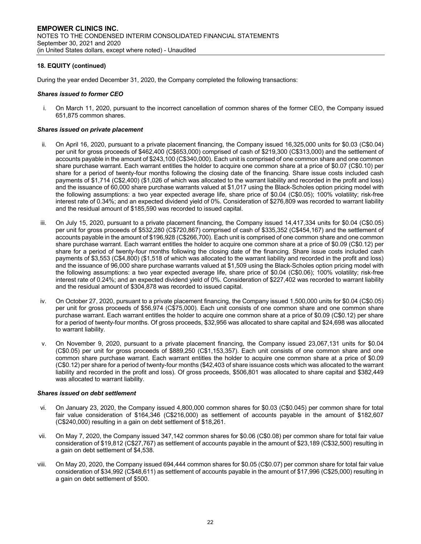During the year ended December 31, 2020, the Company completed the following transactions:

#### *Shares issued to former CEO*

i. On March 11, 2020, pursuant to the incorrect cancellation of common shares of the former CEO, the Company issued 651,875 common shares.

#### *Shares issued on private placement*

- ii. On April 16, 2020, pursuant to a private placement financing, the Company issued 16,325,000 units for \$0.03 (C\$0.04) per unit for gross proceeds of \$462,400 (C\$653,000) comprised of cash of \$219,300 (C\$313,000) and the settlement of accounts payable in the amount of \$243,100 (C\$340,000). Each unit is comprised of one common share and one common share purchase warrant. Each warrant entitles the holder to acquire one common share at a price of \$0.07 (C\$0.10) per share for a period of twenty-four months following the closing date of the financing. Share issue costs included cash payments of \$1,714 (C\$2,400) (\$1,026 of which was allocated to the warrant liability and recorded in the profit and loss) and the issuance of 60,000 share purchase warrants valued at \$1,017 using the Black-Scholes option pricing model with the following assumptions: a two year expected average life, share price of \$0.04 (C\$0.05); 100% volatility; risk-free interest rate of 0.34%; and an expected dividend yield of 0%. Consideration of \$276,809 was recorded to warrant liability and the residual amount of \$185,590 was recorded to issued capital.
- iii. On July 15, 2020, pursuant to a private placement financing, the Company issued 14,417,334 units for \$0.04 (C\$0.05) per unit for gross proceeds of \$532,280 (C\$720,867) comprised of cash of \$335,352 (C\$454,167) and the settlement of accounts payable in the amount of \$196,928 (C\$266,700). Each unit is comprised of one common share and one common share purchase warrant. Each warrant entitles the holder to acquire one common share at a price of \$0.09 (C\$0.12) per share for a period of twenty-four months following the closing date of the financing. Share issue costs included cash payments of \$3,553 (C\$4,800) (\$1,518 of which was allocated to the warrant liability and recorded in the profit and loss) and the issuance of 96,000 share purchase warrants valued at \$1,509 using the Black-Scholes option pricing model with the following assumptions: a two year expected average life, share price of \$0.04 (C\$0.06); 100% volatility; risk-free interest rate of 0.24%; and an expected dividend yield of 0%. Consideration of \$227,402 was recorded to warrant liability and the residual amount of \$304,878 was recorded to issued capital.
- iv. On October 27, 2020, pursuant to a private placement financing, the Company issued 1,500,000 units for \$0.04 (C\$0.05) per unit for gross proceeds of \$56,974 (C\$75,000). Each unit consists of one common share and one common share purchase warrant. Each warrant entitles the holder to acquire one common share at a price of \$0.09 (C\$0.12) per share for a period of twenty-four months. Of gross proceeds, \$32,956 was allocated to share capital and \$24,698 was allocated to warrant liability.
- v. On November 9, 2020, pursuant to a private placement financing, the Company issued 23,067,131 units for \$0.04 (C\$0.05) per unit for gross proceeds of \$889,250 (C\$1,153,357). Each unit consists of one common share and one common share purchase warrant. Each warrant entitles the holder to acquire one common share at a price of \$0.09 (C\$0.12) per share for a period of twenty-four months (\$42,403 of share issuance costs which was allocated to the warrant liability and recorded in the profit and loss). Of gross proceeds, \$506,801 was allocated to share capital and \$382,449 was allocated to warrant liability.

#### *Shares issued on debt settlement*

- vi. On January 23, 2020, the Company issued 4,800,000 common shares for \$0.03 (C\$0.045) per common share for total fair value consideration of \$164,346 (C\$216,000) as settlement of accounts payable in the amount of \$182,607 (C\$240,000) resulting in a gain on debt settlement of \$18,261.
- vii. On May 7, 2020, the Company issued 347,142 common shares for \$0.06 (C\$0.08) per common share for total fair value consideration of \$19,812 (C\$27,767) as settlement of accounts payable in the amount of \$23,189 (C\$32,500) resulting in a gain on debt settlement of \$4,538.
- viii. On May 20, 2020, the Company issued 694,444 common shares for \$0.05 (C\$0.07) per common share for total fair value consideration of \$34,992 (C\$48,611) as settlement of accounts payable in the amount of \$17,996 (C\$25,000) resulting in a gain on debt settlement of \$500.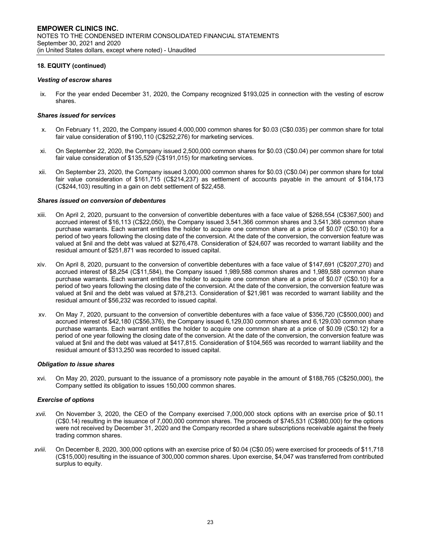#### *Vesting of escrow shares*

ix. For the year ended December 31, 2020, the Company recognized \$193,025 in connection with the vesting of escrow shares.

#### *Shares issued for services*

- x. On February 11, 2020, the Company issued 4,000,000 common shares for \$0.03 (C\$0.035) per common share for total fair value consideration of \$190,110 (C\$252,276) for marketing services.
- xi. On September 22, 2020, the Company issued 2,500,000 common shares for \$0.03 (C\$0.04) per common share for total fair value consideration of \$135,529 (C\$191,015) for marketing services.
- xii. On September 23, 2020, the Company issued 3,000,000 common shares for \$0.03 (C\$0.04) per common share for total fair value consideration of \$161,715 (C\$214,237) as settlement of accounts payable in the amount of \$184,173 (C\$244,103) resulting in a gain on debt settlement of \$22,458.

#### *Shares issued on conversion of debentures*

- xiii. On April 2, 2020, pursuant to the conversion of convertible debentures with a face value of \$268,554 (C\$367,500) and accrued interest of \$16,113 (C\$22,050), the Company issued 3,541,366 common shares and 3,541,366 common share purchase warrants. Each warrant entitles the holder to acquire one common share at a price of \$0.07 (C\$0.10) for a period of two years following the closing date of the conversion. At the date of the conversion, the conversion feature was valued at \$nil and the debt was valued at \$276,478. Consideration of \$24,607 was recorded to warrant liability and the residual amount of \$251,871 was recorded to issued capital.
- xiv. On April 8, 2020, pursuant to the conversion of convertible debentures with a face value of \$147,691 (C\$207,270) and accrued interest of \$8,254 (C\$11,584), the Company issued 1,989,588 common shares and 1,989,588 common share purchase warrants. Each warrant entitles the holder to acquire one common share at a price of \$0.07 (C\$0.10) for a period of two years following the closing date of the conversion. At the date of the conversion, the conversion feature was valued at \$nil and the debt was valued at \$78,213. Consideration of \$21,981 was recorded to warrant liability and the residual amount of \$56,232 was recorded to issued capital.
- xv. On May 7, 2020, pursuant to the conversion of convertible debentures with a face value of \$356,720 (C\$500,000) and accrued interest of \$42,180 (C\$56,376), the Company issued 6,129,030 common shares and 6,129,030 common share purchase warrants. Each warrant entitles the holder to acquire one common share at a price of \$0.09 (C\$0.12) for a period of one year following the closing date of the conversion. At the date of the conversion, the conversion feature was valued at \$nil and the debt was valued at \$417,815. Consideration of \$104,565 was recorded to warrant liability and the residual amount of \$313,250 was recorded to issued capital.

#### *Obligation to issue shares*

xvi. On May 20, 2020, pursuant to the issuance of a promissory note payable in the amount of \$188,765 (C\$250,000), the Company settled its obligation to issues 150,000 common shares.

#### *Exercise of options*

- *xvii.* On November 3, 2020, the CEO of the Company exercised 7,000,000 stock options with an exercise price of \$0.11 (C\$0.14) resulting in the issuance of 7,000,000 common shares. The proceeds of \$745,531 (C\$980,000) for the options were not received by December 31, 2020 and the Company recorded a share subscriptions receivable against the freely trading common shares.
- *xviii.* On December 8, 2020, 300,000 options with an exercise price of \$0.04 (C\$0.05) were exercised for proceeds of \$11,718 (C\$15,000) resulting in the issuance of 300,000 common shares. Upon exercise, \$4,047 was transferred from contributed surplus to equity.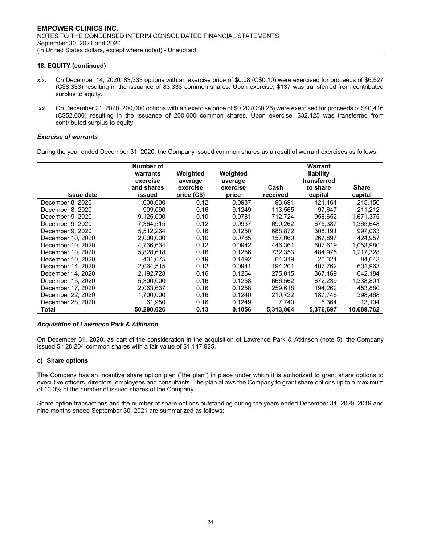- *xix.* On December 14, 2020, 83,333 options with an exercise price of \$0.08 (C\$0.10) were exercised for proceeds of \$6,527 (C\$8,333) resulting in the issuance of 83,333 common shares. Upon exercise, \$137 was transferred from contributed surplus to equity.
- *xx.* On December 21, 2020, 200,000 options with an exercise price of \$0.20 (C\$0.26) were exercised for proceeds of \$40,416 (C\$52,000) resulting in the issuance of 200,000 common shares. Upon exercise, \$32,125 was transferred from contributed surplus to equity.

#### *Exercise of warrants*

During the year ended December 31, 2020, the Company issued common shares as a result of warrant exercises as follows:

| <b>Issue date</b> | Number of<br>warrants<br>exercise<br>and shares<br>issued | Weighted<br>average<br>exercise<br>price (C\$) | Weighted<br>average<br>exercise<br>price | Cash<br>received | Warrant<br>liability<br>transferred<br>to share<br>capital | <b>Share</b><br>capital |
|-------------------|-----------------------------------------------------------|------------------------------------------------|------------------------------------------|------------------|------------------------------------------------------------|-------------------------|
| December 8, 2020  | 1.000.000                                                 | 0.12                                           | 0.0937                                   | 93.691           | 121,464                                                    | 215,156                 |
| December 8, 2020  | 909.090                                                   | 0.16                                           | 0.1249                                   | 113,565          | 97.647                                                     | 211,212                 |
| December 9, 2020  | 9.125.000                                                 | 0.10                                           | 0.0781                                   | 712.724          | 958,652                                                    | 1,671,375               |
| December 9, 2020  | 7,364,515                                                 | 0.12                                           | 0.0937                                   | 690.262          | 675,387                                                    | 1,365,648               |
| December 9, 2020  | 5.512.264                                                 | 0.16                                           | 0.1250                                   | 688.872          | 308.191                                                    | 997.063                 |
| December 10, 2020 | 2,000,000                                                 | 0.10                                           | 0.0785                                   | 157,060          | 267,897                                                    | 424,957                 |
| December 10, 2020 | 4,736,634                                                 | 0.12                                           | 0.0942                                   | 446,361          | 607,619                                                    | 1,053,980               |
| December 10, 2020 | 5,828,618                                                 | 0.16                                           | 0.1256                                   | 732,353          | 484.975                                                    | 1,217,328               |
| December 10, 2020 | 431.075                                                   | 0.19                                           | 0.1492                                   | 64.319           | 20.324                                                     | 84.643                  |
| December 14, 2020 | 2,064,515                                                 | 0.12                                           | 0.0941                                   | 194.201          | 407,762                                                    | 601,963                 |
| December 14, 2020 | 2,192,728                                                 | 0.16                                           | 0.1254                                   | 275,015          | 367,169                                                    | 642,184                 |
| December 15, 2020 | 5.300.000                                                 | 0.16                                           | 0.1258                                   | 666.562          | 672.239                                                    | 1.338.801               |
| December 17, 2020 | 2,063,637                                                 | 0.16                                           | 0.1258                                   | 259.618          | 194.262                                                    | 453,880                 |
| December 22, 2020 | 1.700.000                                                 | 0.16                                           | 0.1240                                   | 210.722          | 187,746                                                    | 398,468                 |
| December 28, 2020 | 61,950                                                    | 0.16                                           | 0.1249                                   | 7,740            | 5,364                                                      | 13,104                  |
| Total             | 50.290.026                                                | 0.13                                           | 0.1056                                   | 5.313.064        | 5.376.697                                                  | 10.689.762              |

#### *Acquisition of Lawrence Park & Atkinson*

On December 31, 2020, as part of the consideration in the acquisition of Lawrence Park & Atkinson (note 5), the Company issued 5,128,204 common shares with a fair value of \$1,147,925.

#### **c) Share options**

The Company has an incentive share option plan ("the plan") in place under which it is authorized to grant share options to executive officers, directors, employees and consultants. The plan allows the Company to grant share options up to a maximum of 10.0% of the number of issued shares of the Company.

Share option transactions and the number of share options outstanding during the years ended December 31, 2020, 2019 and nine months ended September 30, 2021 are summarized as follows: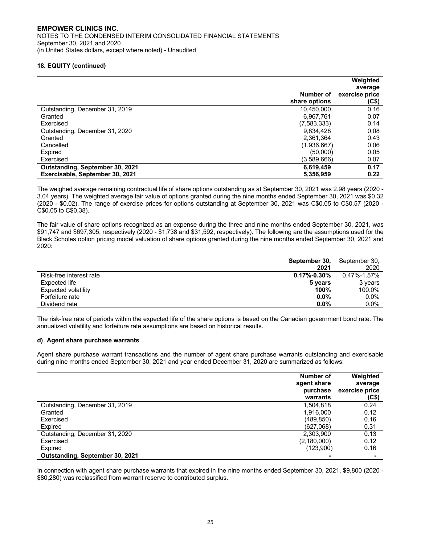|                                 |               | Weighted<br>average |
|---------------------------------|---------------|---------------------|
|                                 | Number of     | exercise price      |
|                                 | share options | (C <sub>5</sub> )   |
| Outstanding, December 31, 2019  | 10,450,000    | 0.16                |
| Granted                         | 6.967.761     | 0.07                |
| Exercised                       | (7,583,333)   | 0.14                |
| Outstanding, December 31, 2020  | 9,834,428     | 0.08                |
| Granted                         | 2,361,364     | 0.43                |
| Cancelled                       | (1,936,667)   | 0.06                |
| Expired                         | (50,000)      | 0.05                |
| Exercised                       | (3,589,666)   | 0.07                |
| Outstanding, September 30, 2021 | 6,619,459     | 0.17                |
| Exercisable, September 30, 2021 | 5.356.959     | 0.22                |

The weighed average remaining contractual life of share options outstanding as at September 30, 2021 was 2.98 years (2020 - 3.04 years). The weighted average fair value of options granted during the nine months ended September 30, 2021 was \$0.32 (2020 - \$0.02). The range of exercise prices for options outstanding at September 30, 2021 was C\$0.05 to C\$0.57 (2020 - C\$0.05 to C\$0.38).

The fair value of share options recognized as an expense during the three and nine months ended September 30, 2021, was \$91,747 and \$697,305, respectively (2020 - \$1,738 and \$31,592, respectively). The following are the assumptions used for the Black Scholes option pricing model valuation of share options granted during the nine months ended September 30, 2021 and 2020:

|                         | September 30,     | September 30,   |
|-------------------------|-------------------|-----------------|
|                         | 2021              | 2020            |
| Risk-free interest rate | $0.17\% - 0.30\%$ | $0.47\%$ -1.57% |
| Expected life           | 5 years           | 3 years         |
| Expected volatility     | 100%              | 100.0%          |
| Forfeiture rate         | $0.0\%$           | $0.0\%$         |
| Dividend rate           | $0.0\%$           | $0.0\%$         |

The risk-free rate of periods within the expected life of the share options is based on the Canadian government bond rate. The annualized volatility and forfeiture rate assumptions are based on historical results.

#### **d) Agent share purchase warrants**

Agent share purchase warrant transactions and the number of agent share purchase warrants outstanding and exercisable during nine months ended September 30, 2021 and year ended December 31, 2020 are summarized as follows:

|                                 | Number of<br>agent share<br>purchase<br>warrants | Weighted<br>average<br>exercise price<br>$(C$ \$) |
|---------------------------------|--------------------------------------------------|---------------------------------------------------|
| Outstanding, December 31, 2019  | 1.504.818                                        | 0.24                                              |
| Granted                         | 1.916.000                                        | 0.12                                              |
| Exercised                       | (489, 850)                                       | 0.16                                              |
| Expired                         | (627,068)                                        | 0.31                                              |
| Outstanding, December 31, 2020  | 2,303,900                                        | 0.13                                              |
| Exercised                       | (2,180,000)                                      | 0.12                                              |
| Expired                         | (123,900)                                        | 0.16                                              |
| Outstanding, September 30, 2021 |                                                  |                                                   |

In connection with agent share purchase warrants that expired in the nine months ended September 30, 2021, \$9,800 (2020 - \$80,280) was reclassified from warrant reserve to contributed surplus.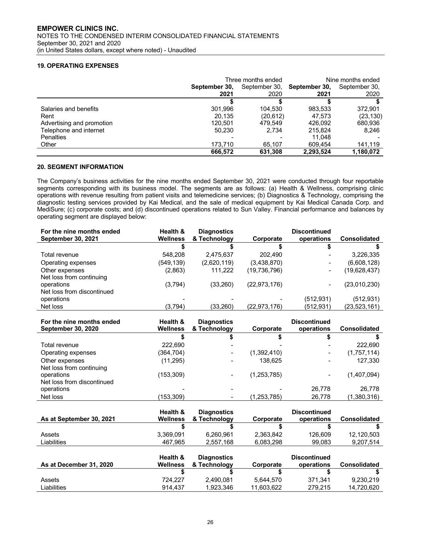# **19. OPERATING EXPENSES**

|                           | Three months ended | Nine months ended |               |               |
|---------------------------|--------------------|-------------------|---------------|---------------|
|                           | September 30,      | September 30,     | September 30, | September 30, |
|                           | 2021               | 2020              | 2021          | 2020          |
|                           |                    |                   |               |               |
| Salaries and benefits     | 301.996            | 104.530           | 983.533       | 372.901       |
| Rent                      | 20.135             | (20,612)          | 47.573        | (23, 130)     |
| Advertising and promotion | 120.501            | 479.549           | 426.092       | 680,936       |
| Telephone and internet    | 50.230             | 2.734             | 215.824       | 8.246         |
| <b>Penalties</b>          |                    |                   | 11.048        |               |
| Other                     | 173.710            | 65.107            | 609.454       | 141.119       |
|                           | 666.572            | 631.308           | 2.293.524     | 1,180,072     |

#### **20. SEGMENT INFORMATION**

The Company's business activities for the nine months ended September 30, 2021 were conducted through four reportable segments corresponding with its business model. The segments are as follows: (a) Health & Wellness, comprising clinic operations with revenue resulting from patient visits and telemedicine services; (b) Diagnostics & Technology, comprising the diagnostic testing services provided by Kai Medical, and the sale of medical equipment by Kai Medical Canada Corp. and MediSure; (c) corporate costs; and (d) discontinued operations related to Sun Valley. Financial performance and balances by operating segment are displayed below:

| For the nine months ended  | Health &        | <b>Diagnostics</b> |              | <b>Discontinued</b> |                     |
|----------------------------|-----------------|--------------------|--------------|---------------------|---------------------|
| <b>September 30, 2021</b>  | <b>Wellness</b> | & Technology       | Corporate    | operations          | <b>Consolidated</b> |
|                            |                 |                    |              |                     |                     |
| Total revenue              | 548.208         | 2,475,637          | 202.490      |                     | 3,226,335           |
| Operating expenses         | (549,139)       | (2,620,119)        | (3,438,870)  | -                   | (6,608,128)         |
| Other expenses             | (2,863)         | 111.222            | (19,736,796) | ۰                   | (19,628,437)        |
| Net loss from continuing   |                 |                    |              |                     |                     |
| operations                 | (3,794)         | (33,260)           | (22.973.176) | -                   | (23,010,230)        |
| Net loss from discontinued |                 |                    |              |                     |                     |
| operations                 |                 |                    |              | (512, 931)          | (512, 931)          |
| Net loss                   | (3,794)         | (33.260)           | (22,973,176) | (512,931)           | (23,523,161)        |

| For the nine months ended  | Health &        | <b>Diagnostics</b> |             | <b>Discontinued</b> |                     |
|----------------------------|-----------------|--------------------|-------------|---------------------|---------------------|
| <b>September 30, 2020</b>  | <b>Wellness</b> | & Technology       | Corporate   | operations          | <b>Consolidated</b> |
|                            |                 |                    |             |                     |                     |
| Total revenue              | 222.690         |                    |             |                     | 222,690             |
| Operating expenses         | (364,704)       |                    | (1,392,410) |                     | (1,757,114)         |
| Other expenses             | (11, 295)       |                    | 138.625     |                     | 127,330             |
| Net loss from continuing   |                 |                    |             |                     |                     |
| operations                 | (153,309)       |                    | (1,253,785) |                     | (1,407,094)         |
| Net loss from discontinued |                 |                    |             |                     |                     |
| operations                 |                 |                    |             | 26.778              | 26,778              |
| Net loss                   | 153,309         |                    | (1,253,785) | 26,778              | (1,380,316)         |

|                          | Health &        | <b>Diagnostics</b> |           | <b>Discontinued</b> |                     |
|--------------------------|-----------------|--------------------|-----------|---------------------|---------------------|
| As at September 30, 2021 | <b>Wellness</b> | & Technology       | Corporate | operations          | <b>Consolidated</b> |
|                          |                 |                    |           |                     |                     |
| Assets                   | 3.369.091       | 6.260.961          | 2,363,842 | 126.609             | 12.120.503          |
| Liabilities              | 467.965         | 2,557,168          | 6.083.298 | 99.083              | 9.207.514           |

| As at December 31, 2020 | Health &<br>Wellness | <b>Diagnostics</b><br>& Technology | Corporate  | <b>Discontinued</b><br>operations | <b>Consolidated</b> |
|-------------------------|----------------------|------------------------------------|------------|-----------------------------------|---------------------|
|                         |                      |                                    |            |                                   |                     |
| Assets                  | 724.227              | 2,490,081                          | 5.644.570  | 371.341                           | 9.230.219           |
| Liabilities             | 914.437              | 1.923.346                          | 11.603.622 | 279.215                           | 14.720.620          |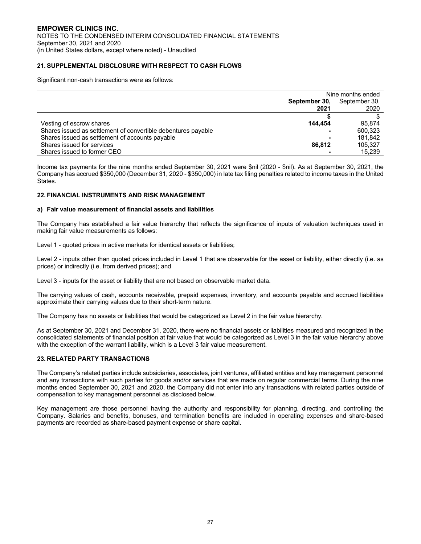# **21. SUPPLEMENTAL DISCLOSURE WITH RESPECT TO CASH FLOWS**

Significant non-cash transactions were as follows:

|                                                               | Nine months ended |               |
|---------------------------------------------------------------|-------------------|---------------|
|                                                               | September 30,     | September 30, |
|                                                               | 2021              | 2020          |
|                                                               |                   |               |
| Vesting of escrow shares                                      | 144.454           | 95.874        |
| Shares issued as settlement of convertible debentures payable |                   | 600.323       |
| Shares issued as settlement of accounts payable               |                   | 181.842       |
| Shares issued for services                                    | 86.812            | 105.327       |
| Shares issued to former CEO                                   |                   | 15.239        |

Income tax payments for the nine months ended September 30, 2021 were \$nil (2020 - \$nil). As at September 30, 2021, the Company has accrued \$350,000 (December 31, 2020 - \$350,000) in late tax filing penalties related to income taxes in the United States.

#### **22. FINANCIAL INSTRUMENTS AND RISK MANAGEMENT**

#### **a) Fair value measurement of financial assets and liabilities**

The Company has established a fair value hierarchy that reflects the significance of inputs of valuation techniques used in making fair value measurements as follows:

Level 1 - quoted prices in active markets for identical assets or liabilities;

Level 2 - inputs other than quoted prices included in Level 1 that are observable for the asset or liability, either directly (i.e. as prices) or indirectly (i.e. from derived prices); and

Level 3 - inputs for the asset or liability that are not based on observable market data.

The carrying values of cash, accounts receivable, prepaid expenses, inventory, and accounts payable and accrued liabilities approximate their carrying values due to their short-term nature.

The Company has no assets or liabilities that would be categorized as Level 2 in the fair value hierarchy.

As at September 30, 2021 and December 31, 2020, there were no financial assets or liabilities measured and recognized in the consolidated statements of financial position at fair value that would be categorized as Level 3 in the fair value hierarchy above with the exception of the warrant liability, which is a Level 3 fair value measurement.

#### **23. RELATED PARTY TRANSACTIONS**

The Company's related parties include subsidiaries, associates, joint ventures, affiliated entities and key management personnel and any transactions with such parties for goods and/or services that are made on regular commercial terms. During the nine months ended September 30, 2021 and 2020, the Company did not enter into any transactions with related parties outside of compensation to key management personnel as disclosed below.

Key management are those personnel having the authority and responsibility for planning, directing, and controlling the Company. Salaries and benefits, bonuses, and termination benefits are included in operating expenses and share-based payments are recorded as share-based payment expense or share capital.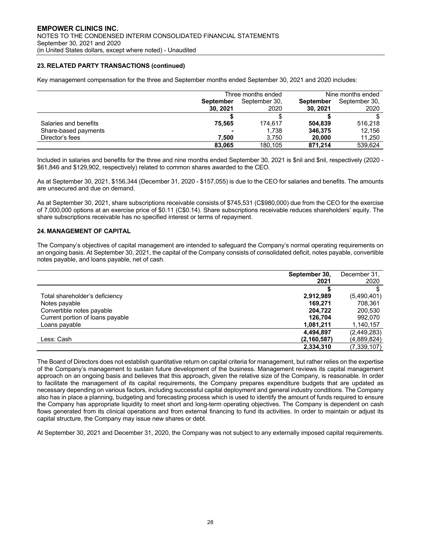# **23. RELATED PARTY TRANSACTIONS (continued)**

Key management compensation for the three and September months ended September 30, 2021 and 2020 includes:

|                       | Three months ended       |               | Nine months ended |               |
|-----------------------|--------------------------|---------------|-------------------|---------------|
|                       | <b>September</b>         | September 30. | <b>September</b>  | September 30, |
|                       | 30, 2021                 | 2020          | 30, 2021          | 2020          |
|                       |                          |               |                   |               |
| Salaries and benefits | 75.565                   | 174.617       | 504.839           | 516.218       |
| Share-based payments  | $\overline{\phantom{0}}$ | 1.738         | 346,375           | 12.156        |
| Director's fees       | 7.500                    | 3.750         | 20,000            | 11,250        |
|                       | 83.065                   | 180.105       | 871.214           | 539.624       |

Included in salaries and benefits for the three and nine months ended September 30, 2021 is \$nil and \$nil, respectively (2020 - \$61,846 and \$129,902, respectively) related to common shares awarded to the CEO.

As at September 30, 2021, \$156,344 (December 31, 2020 - \$157,055) is due to the CEO for salaries and benefits. The amounts are unsecured and due on demand.

As at September 30, 2021, share subscriptions receivable consists of \$745,531 (C\$980,000) due from the CEO for the exercise of 7,000,000 options at an exercise price of \$0.11 (C\$0.14). Share subscriptions receivable reduces shareholders' equity. The share subscriptions receivable has no specified interest or terms of repayment.

#### **24. MANAGEMENT OF CAPITAL**

The Company's objectives of capital management are intended to safeguard the Company's normal operating requirements on an ongoing basis. At September 30, 2021, the capital of the Company consists of consolidated deficit, notes payable, convertible notes payable, and loans payable, net of cash.

|                                  | September 30, | December 31,  |
|----------------------------------|---------------|---------------|
|                                  | 2021          | 2020          |
|                                  |               |               |
| Total shareholder's deficiency   | 2,912,989     | (5,490,401)   |
| Notes payable                    | 169.271       | 708.361       |
| Convertible notes payable        | 204.722       | 200,530       |
| Current portion of loans payable | 126.704       | 992.070       |
| Loans payable                    | 1,081,211     | 1,140,157     |
|                                  | 4,494,897     | (2,449,283)   |
| Less: Cash                       | (2, 160, 587) | (4,889,824)   |
|                                  | 2,334,310     | (7, 339, 107) |

The Board of Directors does not establish quantitative return on capital criteria for management, but rather relies on the expertise of the Company's management to sustain future development of the business. Management reviews its capital management approach on an ongoing basis and believes that this approach, given the relative size of the Company, is reasonable. In order to facilitate the management of its capital requirements, the Company prepares expenditure budgets that are updated as necessary depending on various factors, including successful capital deployment and general industry conditions. The Company also has in place a planning, budgeting and forecasting process which is used to identify the amount of funds required to ensure the Company has appropriate liquidity to meet short and long-term operating objectives. The Company is dependent on cash flows generated from its clinical operations and from external financing to fund its activities. In order to maintain or adjust its capital structure, the Company may issue new shares or debt.

At September 30, 2021 and December 31, 2020, the Company was not subject to any externally imposed capital requirements.